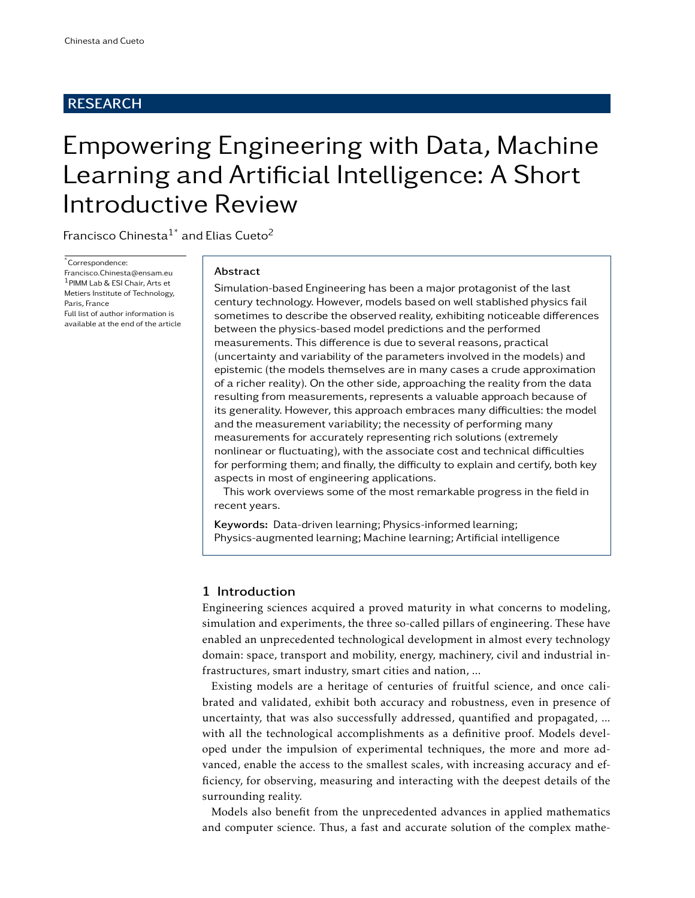# RESEARCH

# Empowering Engineering with Data, Machine Learning and Artificial Intelligence: A Short Introductive Review

Francisco Chinesta $1^*$  and Elias Cueto<sup>2</sup>

\*Correspondence:

Francisco.Chinesta@ensam.eu <sup>1</sup>PIMM Lab & ESI Chair, Arts et Metiers Institute of Technology, Paris, France Full list of author information is available at the end of the article

#### Abstract

Simulation-based Engineering has been a major protagonist of the last century technology. However, models based on well stablished physics fail sometimes to describe the observed reality, exhibiting noticeable differences between the physics-based model predictions and the performed measurements. This difference is due to several reasons, practical (uncertainty and variability of the parameters involved in the models) and epistemic (the models themselves are in many cases a crude approximation of a richer reality). On the other side, approaching the reality from the data resulting from measurements, represents a valuable approach because of its generality. However, this approach embraces many difficulties: the model and the measurement variability; the necessity of performing many measurements for accurately representing rich solutions (extremely nonlinear or fluctuating), with the associate cost and technical difficulties for performing them; and finally, the difficulty to explain and certify, both key aspects in most of engineering applications.

This work overviews some of the most remarkable progress in the field in recent years.

Keywords: Data-driven learning; Physics-informed learning; Physics-augmented learning; Machine learning; Artificial intelligence

# 1 Introduction

Engineering sciences acquired a proved maturity in what concerns to modeling, simulation and experiments, the three so-called pillars of engineering. These have enabled an unprecedented technological development in almost every technology domain: space, transport and mobility, energy, machinery, civil and industrial infrastructures, smart industry, smart cities and nation, ...

Existing models are a heritage of centuries of fruitful science, and once calibrated and validated, exhibit both accuracy and robustness, even in presence of uncertainty, that was also successfully addressed, quantified and propagated, ... with all the technological accomplishments as a definitive proof. Models developed under the impulsion of experimental techniques, the more and more advanced, enable the access to the smallest scales, with increasing accuracy and efficiency, for observing, measuring and interacting with the deepest details of the surrounding reality.

Models also benefit from the unprecedented advances in applied mathematics and computer science. Thus, a fast and accurate solution of the complex mathe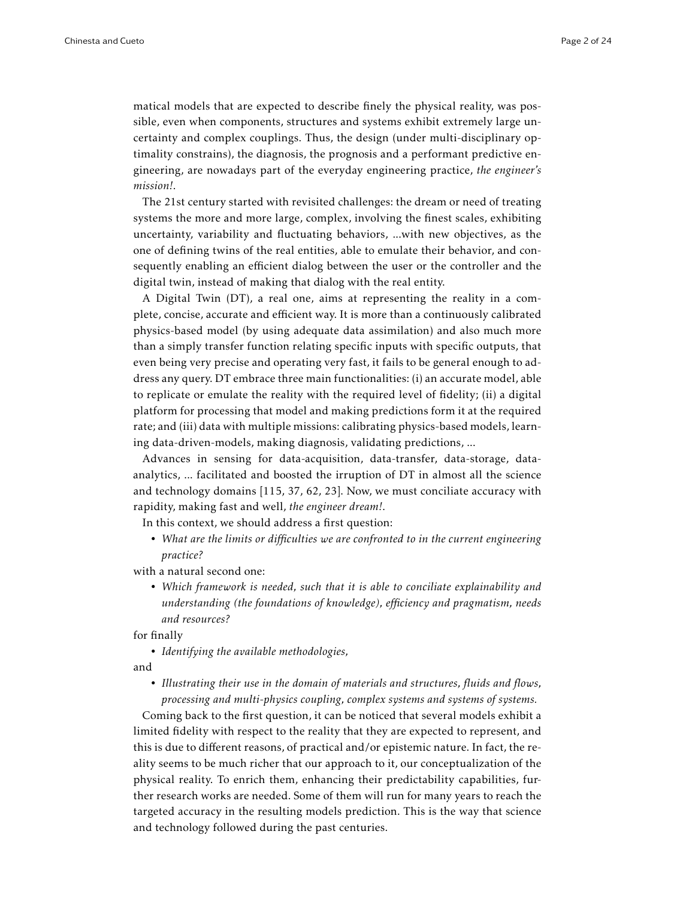matical models that are expected to describe finely the physical reality, was possible, even when components, structures and systems exhibit extremely large uncertainty and complex couplings. Thus, the design (under multi-disciplinary optimality constrains), the diagnosis, the prognosis and a performant predictive engineering, are nowadays part of the everyday engineering practice, *the engineer's mission!*.

The 21st century started with revisited challenges: the dream or need of treating systems the more and more large, complex, involving the finest scales, exhibiting uncertainty, variability and fluctuating behaviors, ...with new objectives, as the one of defining twins of the real entities, able to emulate their behavior, and consequently enabling an efficient dialog between the user or the controller and the digital twin, instead of making that dialog with the real entity.

A Digital Twin (DT), a real one, aims at representing the reality in a complete, concise, accurate and efficient way. It is more than a continuously calibrated physics-based model (by using adequate data assimilation) and also much more than a simply transfer function relating specific inputs with specific outputs, that even being very precise and operating very fast, it fails to be general enough to address any query. DT embrace three main functionalities: (i) an accurate model, able to replicate or emulate the reality with the required level of fidelity; (ii) a digital platform for processing that model and making predictions form it at the required rate; and (iii) data with multiple missions: calibrating physics-based models, learning data-driven-models, making diagnosis, validating predictions, ...

Advances in sensing for data-acquisition, data-transfer, data-storage, dataanalytics, ... facilitated and boosted the irruption of DT in almost all the science and technology domains [115, 37, 62, 23]. Now, we must conciliate accuracy with rapidity, making fast and well, *the engineer dream!*.

In this context, we should address a first question:

• *What are the limits or difficulties we are confronted to in the current engineering practice?*

with a natural second one:

• *Which framework is needed, such that it is able to conciliate explainability and understanding (the foundations of knowledge), efficiency and pragmatism, needs and resources?*

for finally

• *Identifying the available methodologies,*

and

• *Illustrating their use in the domain of materials and structures, fluids and flows, processing and multi-physics coupling, complex systems and systems of systems.*

Coming back to the first question, it can be noticed that several models exhibit a limited fidelity with respect to the reality that they are expected to represent, and this is due to different reasons, of practical and/or epistemic nature. In fact, the reality seems to be much richer that our approach to it, our conceptualization of the physical reality. To enrich them, enhancing their predictability capabilities, further research works are needed. Some of them will run for many years to reach the targeted accuracy in the resulting models prediction. This is the way that science and technology followed during the past centuries.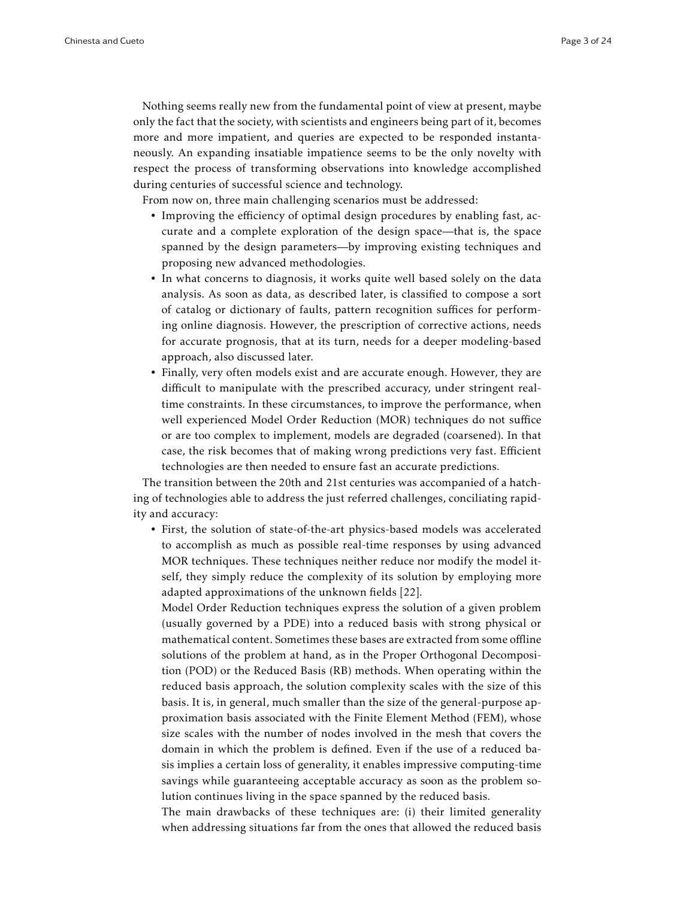Nothing seems really new from the fundamental point of view at present, maybe only the fact that the society, with scientists and engineers being part of it, becomes more and more impatient, and queries are expected to be responded instantaneously. An expanding insatiable impatience seems to be the only novelty with respect the process of transforming observations into knowledge accomplished during centuries of successful science and technology.

From now on, three main challenging scenarios must be addressed:

- Improving the efficiency of optimal design procedures by enabling fast, accurate and a complete exploration of the design space—that is, the space spanned by the design parameters—by improving existing techniques and proposing new advanced methodologies.
- In what concerns to diagnosis, it works quite well based solely on the data analysis. As soon as data, as described later, is classified to compose a sort of catalog or dictionary of faults, pattern recognition suffices for performing online diagnosis. However, the prescription of corrective actions, needs for accurate prognosis, that at its turn, needs for a deeper modeling-based approach, also discussed later.
- Finally, very often models exist and are accurate enough. However, they are difficult to manipulate with the prescribed accuracy, under stringent realtime constraints. In these circumstances, to improve the performance, when well experienced Model Order Reduction (MOR) techniques do not suffice or are too complex to implement, models are degraded (coarsened). In that case, the risk becomes that of making wrong predictions very fast. Efficient technologies are then needed to ensure fast an accurate predictions.

The transition between the 20th and 21st centuries was accompanied of a hatching of technologies able to address the just referred challenges, conciliating rapidity and accuracy:

• First, the solution of state-of-the-art physics-based models was accelerated to accomplish as much as possible real-time responses by using advanced MOR techniques. These techniques neither reduce nor modify the model itself, they simply reduce the complexity of its solution by employing more adapted approximations of the unknown fields [22].

Model Order Reduction techniques express the solution of a given problem (usually governed by a PDE) into a reduced basis with strong physical or mathematical content. Sometimes these bases are extracted from some offline solutions of the problem at hand, as in the Proper Orthogonal Decomposition (POD) or the Reduced Basis (RB) methods. When operating within the reduced basis approach, the solution complexity scales with the size of this basis. It is, in general, much smaller than the size of the general-purpose approximation basis associated with the Finite Element Method (FEM), whose size scales with the number of nodes involved in the mesh that covers the domain in which the problem is defined. Even if the use of a reduced basis implies a certain loss of generality, it enables impressive computing-time savings while guaranteeing acceptable accuracy as soon as the problem solution continues living in the space spanned by the reduced basis.

The main drawbacks of these techniques are: (i) their limited generality when addressing situations far from the ones that allowed the reduced basis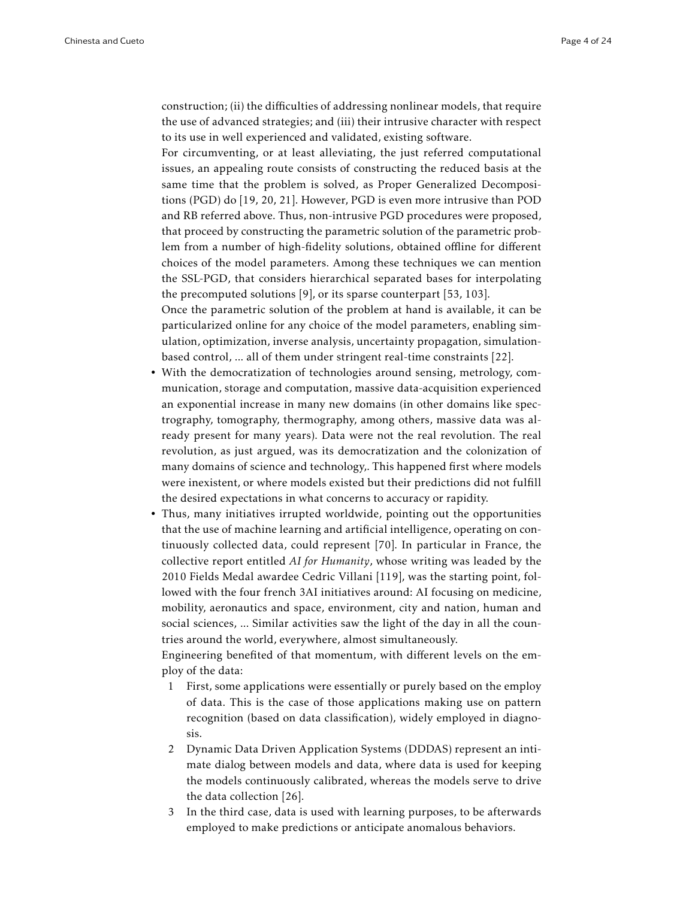construction; (ii) the difficulties of addressing nonlinear models, that require the use of advanced strategies; and (iii) their intrusive character with respect to its use in well experienced and validated, existing software.

For circumventing, or at least alleviating, the just referred computational issues, an appealing route consists of constructing the reduced basis at the same time that the problem is solved, as Proper Generalized Decompositions (PGD) do [19, 20, 21]. However, PGD is even more intrusive than POD and RB referred above. Thus, non-intrusive PGD procedures were proposed, that proceed by constructing the parametric solution of the parametric problem from a number of high-fidelity solutions, obtained offline for different choices of the model parameters. Among these techniques we can mention the SSL-PGD, that considers hierarchical separated bases for interpolating the precomputed solutions [9], or its sparse counterpart [53, 103].

Once the parametric solution of the problem at hand is available, it can be particularized online for any choice of the model parameters, enabling simulation, optimization, inverse analysis, uncertainty propagation, simulationbased control, ... all of them under stringent real-time constraints [22].

- With the democratization of technologies around sensing, metrology, communication, storage and computation, massive data-acquisition experienced an exponential increase in many new domains (in other domains like spectrography, tomography, thermography, among others, massive data was already present for many years). Data were not the real revolution. The real revolution, as just argued, was its democratization and the colonization of many domains of science and technology,. This happened first where models were inexistent, or where models existed but their predictions did not fulfill the desired expectations in what concerns to accuracy or rapidity.
- Thus, many initiatives irrupted worldwide, pointing out the opportunities that the use of machine learning and artificial intelligence, operating on continuously collected data, could represent [70]. In particular in France, the collective report entitled *AI for Humanity*, whose writing was leaded by the 2010 Fields Medal awardee Cedric Villani [119], was the starting point, followed with the four french 3AI initiatives around: AI focusing on medicine, mobility, aeronautics and space, environment, city and nation, human and social sciences, ... Similar activities saw the light of the day in all the countries around the world, everywhere, almost simultaneously.

Engineering benefited of that momentum, with different levels on the employ of the data:

- 1 First, some applications were essentially or purely based on the employ of data. This is the case of those applications making use on pattern recognition (based on data classification), widely employed in diagnosis.
- 2 Dynamic Data Driven Application Systems (DDDAS) represent an intimate dialog between models and data, where data is used for keeping the models continuously calibrated, whereas the models serve to drive the data collection [26].
- 3 In the third case, data is used with learning purposes, to be afterwards employed to make predictions or anticipate anomalous behaviors.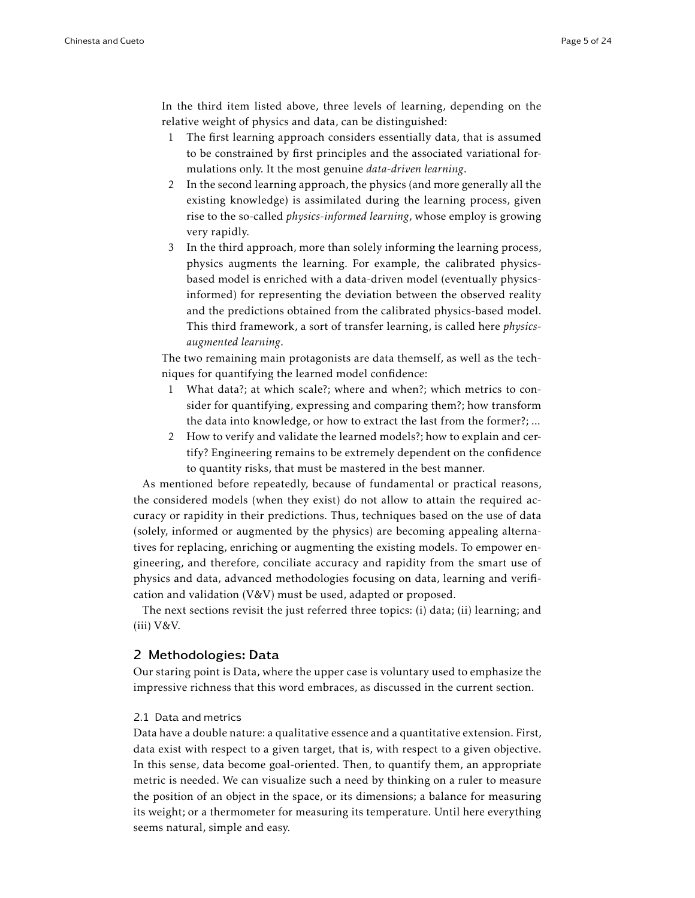In the third item listed above, three levels of learning, depending on the relative weight of physics and data, can be distinguished:

- 1 The first learning approach considers essentially data, that is assumed to be constrained by first principles and the associated variational formulations only. It the most genuine *data-driven learning*.
- 2 In the second learning approach, the physics (and more generally all the existing knowledge) is assimilated during the learning process, given rise to the so-called *physics-informed learning*, whose employ is growing very rapidly.
- 3 In the third approach, more than solely informing the learning process, physics augments the learning. For example, the calibrated physicsbased model is enriched with a data-driven model (eventually physicsinformed) for representing the deviation between the observed reality and the predictions obtained from the calibrated physics-based model. This third framework, a sort of transfer learning, is called here *physicsaugmented learning*.

The two remaining main protagonists are data themself, as well as the techniques for quantifying the learned model confidence:

- 1 What data?; at which scale?; where and when?; which metrics to consider for quantifying, expressing and comparing them?; how transform the data into knowledge, or how to extract the last from the former?; ...
- 2 How to verify and validate the learned models?; how to explain and certify? Engineering remains to be extremely dependent on the confidence to quantity risks, that must be mastered in the best manner.

As mentioned before repeatedly, because of fundamental or practical reasons, the considered models (when they exist) do not allow to attain the required accuracy or rapidity in their predictions. Thus, techniques based on the use of data (solely, informed or augmented by the physics) are becoming appealing alternatives for replacing, enriching or augmenting the existing models. To empower engineering, and therefore, conciliate accuracy and rapidity from the smart use of physics and data, advanced methodologies focusing on data, learning and verification and validation (V&V) must be used, adapted or proposed.

The next sections revisit the just referred three topics: (i) data; (ii) learning; and  $(iii) V&V.$ 

# 2 Methodologies: Data

Our staring point is Data, where the upper case is voluntary used to emphasize the impressive richness that this word embraces, as discussed in the current section.

# 2.1 Data and metrics

Data have a double nature: a qualitative essence and a quantitative extension. First, data exist with respect to a given target, that is, with respect to a given objective. In this sense, data become goal-oriented. Then, to quantify them, an appropriate metric is needed. We can visualize such a need by thinking on a ruler to measure the position of an object in the space, or its dimensions; a balance for measuring its weight; or a thermometer for measuring its temperature. Until here everything seems natural, simple and easy.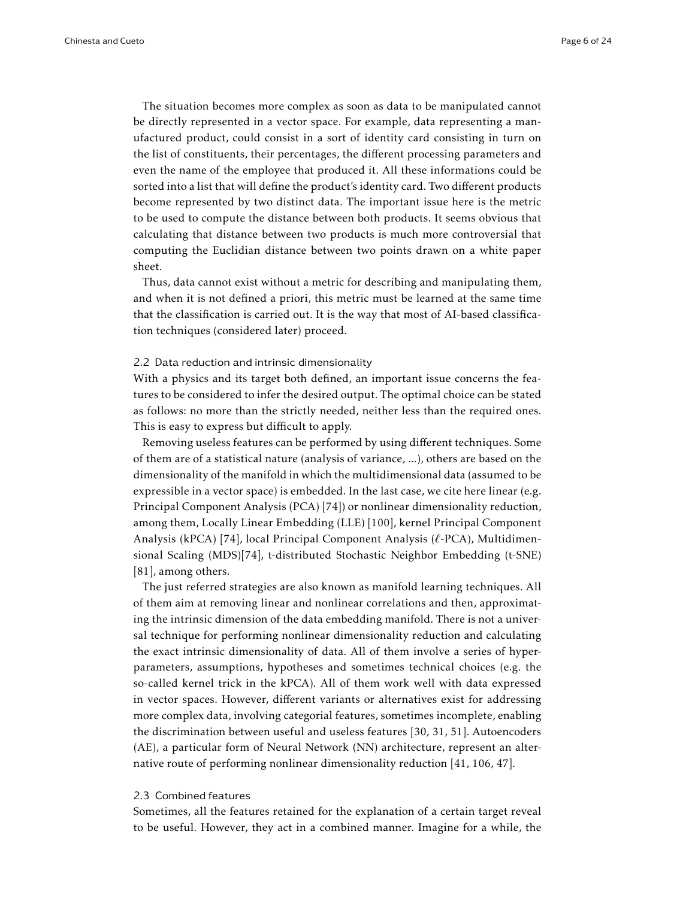The situation becomes more complex as soon as data to be manipulated cannot be directly represented in a vector space. For example, data representing a manufactured product, could consist in a sort of identity card consisting in turn on the list of constituents, their percentages, the different processing parameters and even the name of the employee that produced it. All these informations could be sorted into a list that will define the product's identity card. Two different products become represented by two distinct data. The important issue here is the metric to be used to compute the distance between both products. It seems obvious that calculating that distance between two products is much more controversial that computing the Euclidian distance between two points drawn on a white paper sheet.

Thus, data cannot exist without a metric for describing and manipulating them, and when it is not defined a priori, this metric must be learned at the same time that the classification is carried out. It is the way that most of AI-based classification techniques (considered later) proceed.

## 2.2 Data reduction and intrinsic dimensionality

With a physics and its target both defined, an important issue concerns the features to be considered to infer the desired output. The optimal choice can be stated as follows: no more than the strictly needed, neither less than the required ones. This is easy to express but difficult to apply.

Removing useless features can be performed by using different techniques. Some of them are of a statistical nature (analysis of variance, ...), others are based on the dimensionality of the manifold in which the multidimensional data (assumed to be expressible in a vector space) is embedded. In the last case, we cite here linear (e.g. Principal Component Analysis (PCA) [74]) or nonlinear dimensionality reduction, among them, Locally Linear Embedding (LLE) [100], kernel Principal Component Analysis (kPCA) [74], local Principal Component Analysis (*`*-PCA), Multidimensional Scaling (MDS)[74], t-distributed Stochastic Neighbor Embedding (t-SNE) [81], among others.

The just referred strategies are also known as manifold learning techniques. All of them aim at removing linear and nonlinear correlations and then, approximating the intrinsic dimension of the data embedding manifold. There is not a universal technique for performing nonlinear dimensionality reduction and calculating the exact intrinsic dimensionality of data. All of them involve a series of hyperparameters, assumptions, hypotheses and sometimes technical choices (e.g. the so-called kernel trick in the kPCA). All of them work well with data expressed in vector spaces. However, different variants or alternatives exist for addressing more complex data, involving categorial features, sometimes incomplete, enabling the discrimination between useful and useless features [30, 31, 51]. Autoencoders (AE), a particular form of Neural Network (NN) architecture, represent an alternative route of performing nonlinear dimensionality reduction [41, 106, 47].

## 2.3 Combined features

Sometimes, all the features retained for the explanation of a certain target reveal to be useful. However, they act in a combined manner. Imagine for a while, the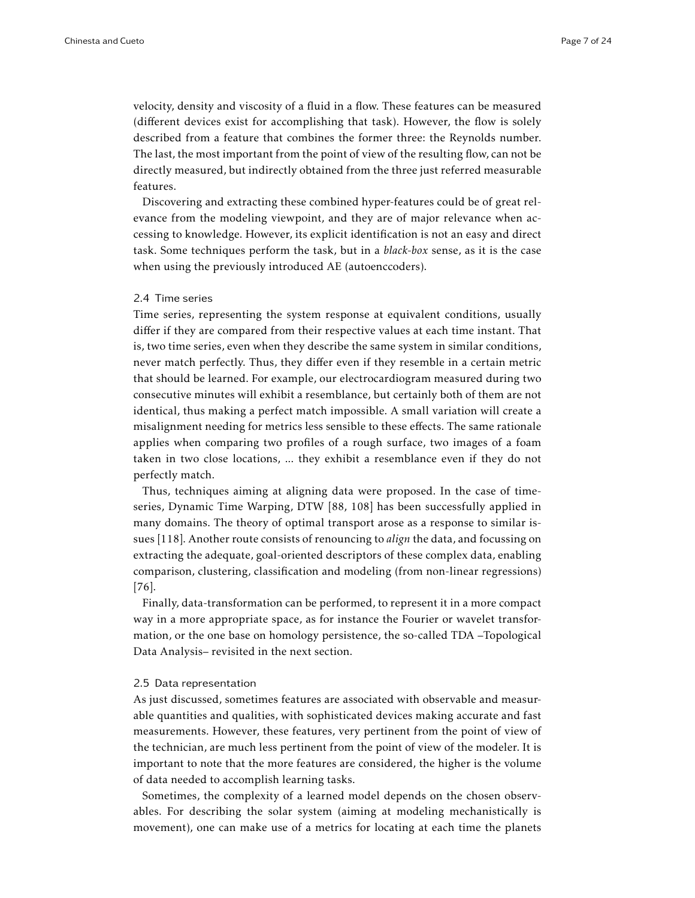velocity, density and viscosity of a fluid in a flow. These features can be measured (different devices exist for accomplishing that task). However, the flow is solely described from a feature that combines the former three: the Reynolds number. The last, the most important from the point of view of the resulting flow, can not be directly measured, but indirectly obtained from the three just referred measurable features.

Discovering and extracting these combined hyper-features could be of great relevance from the modeling viewpoint, and they are of major relevance when accessing to knowledge. However, its explicit identification is not an easy and direct task. Some techniques perform the task, but in a *black-box* sense, as it is the case when using the previously introduced AE (autoenccoders).

#### 2.4 Time series

Time series, representing the system response at equivalent conditions, usually differ if they are compared from their respective values at each time instant. That is, two time series, even when they describe the same system in similar conditions, never match perfectly. Thus, they differ even if they resemble in a certain metric that should be learned. For example, our electrocardiogram measured during two consecutive minutes will exhibit a resemblance, but certainly both of them are not identical, thus making a perfect match impossible. A small variation will create a misalignment needing for metrics less sensible to these effects. The same rationale applies when comparing two profiles of a rough surface, two images of a foam taken in two close locations, ... they exhibit a resemblance even if they do not perfectly match.

Thus, techniques aiming at aligning data were proposed. In the case of timeseries, Dynamic Time Warping, DTW [88, 108] has been successfully applied in many domains. The theory of optimal transport arose as a response to similar issues [118]. Another route consists of renouncing to *align* the data, and focussing on extracting the adequate, goal-oriented descriptors of these complex data, enabling comparison, clustering, classification and modeling (from non-linear regressions) [76].

Finally, data-transformation can be performed, to represent it in a more compact way in a more appropriate space, as for instance the Fourier or wavelet transformation, or the one base on homology persistence, the so-called TDA –Topological Data Analysis– revisited in the next section.

#### 2.5 Data representation

As just discussed, sometimes features are associated with observable and measurable quantities and qualities, with sophisticated devices making accurate and fast measurements. However, these features, very pertinent from the point of view of the technician, are much less pertinent from the point of view of the modeler. It is important to note that the more features are considered, the higher is the volume of data needed to accomplish learning tasks.

Sometimes, the complexity of a learned model depends on the chosen observables. For describing the solar system (aiming at modeling mechanistically is movement), one can make use of a metrics for locating at each time the planets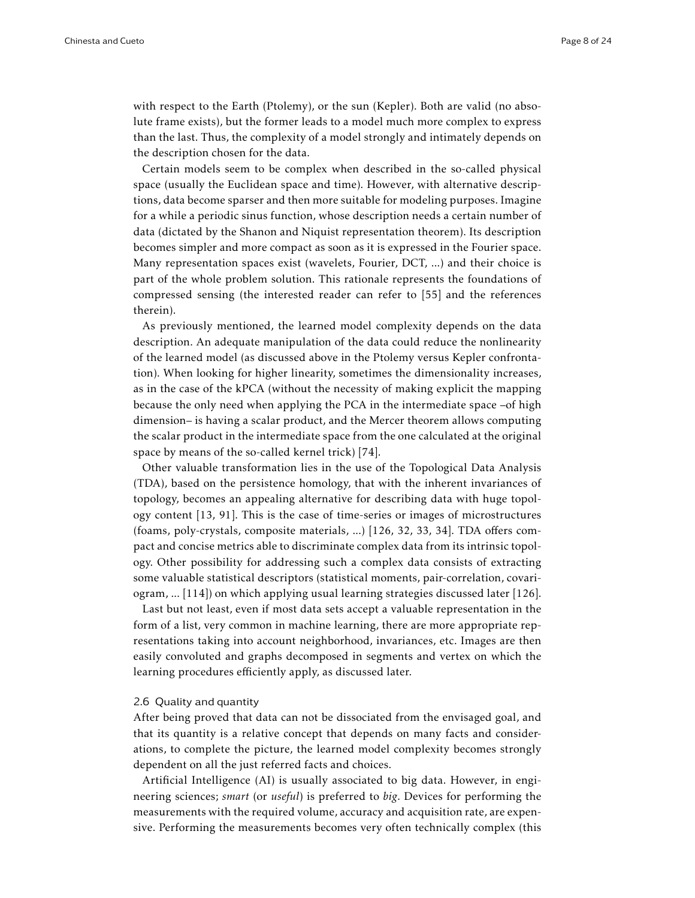with respect to the Earth (Ptolemy), or the sun (Kepler). Both are valid (no absolute frame exists), but the former leads to a model much more complex to express than the last. Thus, the complexity of a model strongly and intimately depends on the description chosen for the data.

Certain models seem to be complex when described in the so-called physical space (usually the Euclidean space and time). However, with alternative descriptions, data become sparser and then more suitable for modeling purposes. Imagine for a while a periodic sinus function, whose description needs a certain number of data (dictated by the Shanon and Niquist representation theorem). Its description becomes simpler and more compact as soon as it is expressed in the Fourier space. Many representation spaces exist (wavelets, Fourier, DCT, ...) and their choice is part of the whole problem solution. This rationale represents the foundations of compressed sensing (the interested reader can refer to [55] and the references therein).

As previously mentioned, the learned model complexity depends on the data description. An adequate manipulation of the data could reduce the nonlinearity of the learned model (as discussed above in the Ptolemy versus Kepler confrontation). When looking for higher linearity, sometimes the dimensionality increases, as in the case of the kPCA (without the necessity of making explicit the mapping because the only need when applying the PCA in the intermediate space –of high dimension– is having a scalar product, and the Mercer theorem allows computing the scalar product in the intermediate space from the one calculated at the original space by means of the so-called kernel trick) [74].

Other valuable transformation lies in the use of the Topological Data Analysis (TDA), based on the persistence homology, that with the inherent invariances of topology, becomes an appealing alternative for describing data with huge topology content [13, 91]. This is the case of time-series or images of microstructures (foams, poly-crystals, composite materials, ...) [126, 32, 33, 34]. TDA offers compact and concise metrics able to discriminate complex data from its intrinsic topology. Other possibility for addressing such a complex data consists of extracting some valuable statistical descriptors (statistical moments, pair-correlation, covariogram, ... [114]) on which applying usual learning strategies discussed later [126].

Last but not least, even if most data sets accept a valuable representation in the form of a list, very common in machine learning, there are more appropriate representations taking into account neighborhood, invariances, etc. Images are then easily convoluted and graphs decomposed in segments and vertex on which the learning procedures efficiently apply, as discussed later.

#### 2.6 Quality and quantity

After being proved that data can not be dissociated from the envisaged goal, and that its quantity is a relative concept that depends on many facts and considerations, to complete the picture, the learned model complexity becomes strongly dependent on all the just referred facts and choices.

Artificial Intelligence (AI) is usually associated to big data. However, in engineering sciences; *smart* (or *useful*) is preferred to *big*. Devices for performing the measurements with the required volume, accuracy and acquisition rate, are expensive. Performing the measurements becomes very often technically complex (this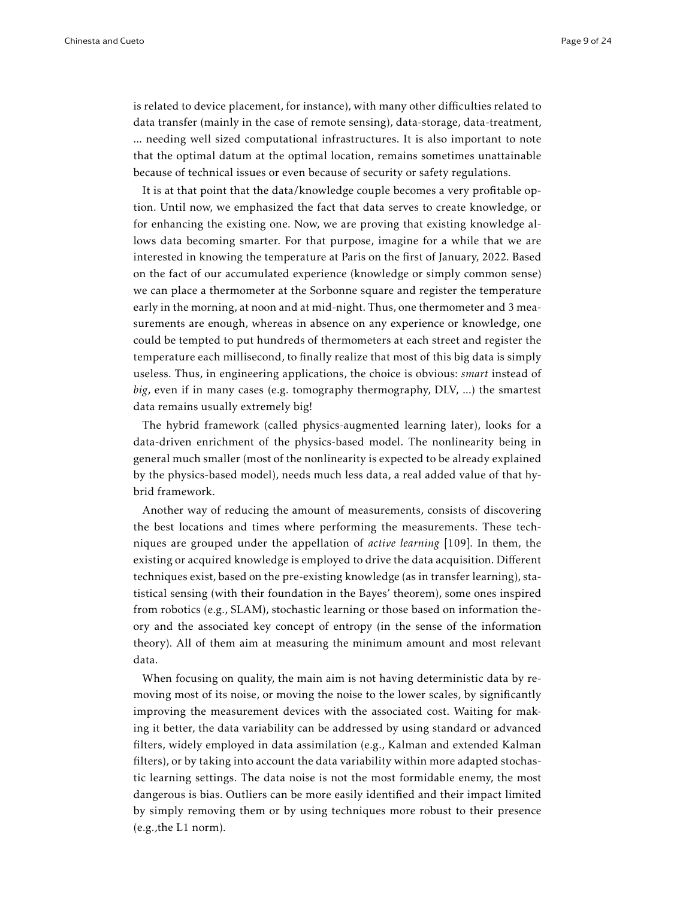is related to device placement, for instance), with many other difficulties related to data transfer (mainly in the case of remote sensing), data-storage, data-treatment, ... needing well sized computational infrastructures. It is also important to note that the optimal datum at the optimal location, remains sometimes unattainable because of technical issues or even because of security or safety regulations.

It is at that point that the data/knowledge couple becomes a very profitable option. Until now, we emphasized the fact that data serves to create knowledge, or for enhancing the existing one. Now, we are proving that existing knowledge allows data becoming smarter. For that purpose, imagine for a while that we are interested in knowing the temperature at Paris on the first of January, 2022. Based on the fact of our accumulated experience (knowledge or simply common sense) we can place a thermometer at the Sorbonne square and register the temperature early in the morning, at noon and at mid-night. Thus, one thermometer and 3 measurements are enough, whereas in absence on any experience or knowledge, one could be tempted to put hundreds of thermometers at each street and register the temperature each millisecond, to finally realize that most of this big data is simply useless. Thus, in engineering applications, the choice is obvious: *smart* instead of *big*, even if in many cases (e.g. tomography thermography, DLV, ...) the smartest data remains usually extremely big!

The hybrid framework (called physics-augmented learning later), looks for a data-driven enrichment of the physics-based model. The nonlinearity being in general much smaller (most of the nonlinearity is expected to be already explained by the physics-based model), needs much less data, a real added value of that hybrid framework.

Another way of reducing the amount of measurements, consists of discovering the best locations and times where performing the measurements. These techniques are grouped under the appellation of *active learning* [109]. In them, the existing or acquired knowledge is employed to drive the data acquisition. Different techniques exist, based on the pre-existing knowledge (as in transfer learning), statistical sensing (with their foundation in the Bayes' theorem), some ones inspired from robotics (e.g., SLAM), stochastic learning or those based on information theory and the associated key concept of entropy (in the sense of the information theory). All of them aim at measuring the minimum amount and most relevant data.

When focusing on quality, the main aim is not having deterministic data by removing most of its noise, or moving the noise to the lower scales, by significantly improving the measurement devices with the associated cost. Waiting for making it better, the data variability can be addressed by using standard or advanced filters, widely employed in data assimilation (e.g., Kalman and extended Kalman filters), or by taking into account the data variability within more adapted stochastic learning settings. The data noise is not the most formidable enemy, the most dangerous is bias. Outliers can be more easily identified and their impact limited by simply removing them or by using techniques more robust to their presence (e.g.,the L1 norm).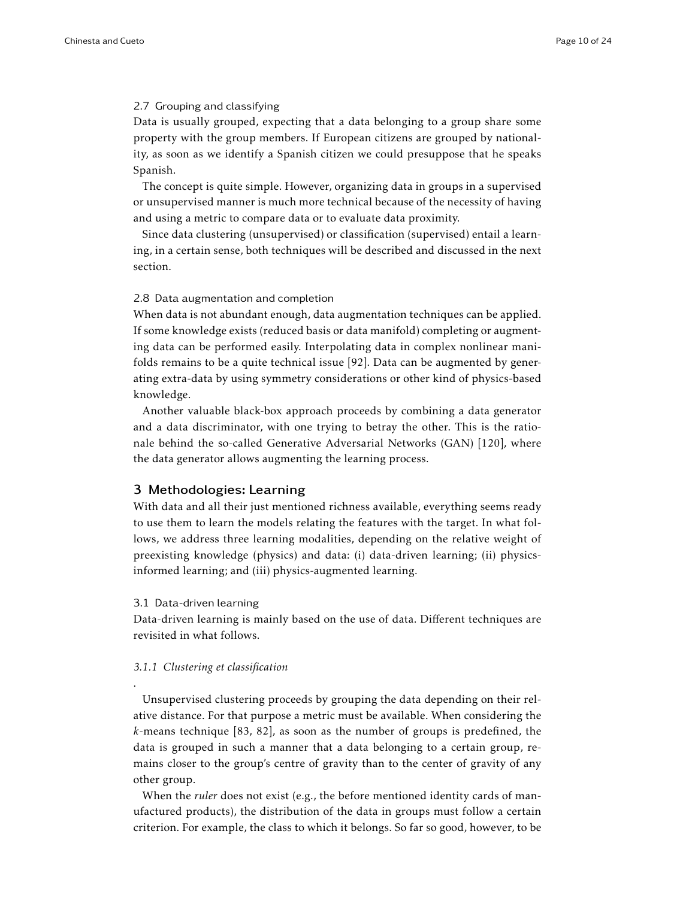# 2.7 Grouping and classifying

Data is usually grouped, expecting that a data belonging to a group share some property with the group members. If European citizens are grouped by nationality, as soon as we identify a Spanish citizen we could presuppose that he speaks Spanish.

The concept is quite simple. However, organizing data in groups in a supervised or unsupervised manner is much more technical because of the necessity of having and using a metric to compare data or to evaluate data proximity.

Since data clustering (unsupervised) or classification (supervised) entail a learning, in a certain sense, both techniques will be described and discussed in the next section.

# 2.8 Data augmentation and completion

When data is not abundant enough, data augmentation techniques can be applied. If some knowledge exists (reduced basis or data manifold) completing or augmenting data can be performed easily. Interpolating data in complex nonlinear manifolds remains to be a quite technical issue [92]. Data can be augmented by generating extra-data by using symmetry considerations or other kind of physics-based knowledge.

Another valuable black-box approach proceeds by combining a data generator and a data discriminator, with one trying to betray the other. This is the rationale behind the so-called Generative Adversarial Networks (GAN) [120], where the data generator allows augmenting the learning process.

# 3 Methodologies: Learning

With data and all their just mentioned richness available, everything seems ready to use them to learn the models relating the features with the target. In what follows, we address three learning modalities, depending on the relative weight of preexisting knowledge (physics) and data: (i) data-driven learning; (ii) physicsinformed learning; and (iii) physics-augmented learning.

#### 3.1 Data-driven learning

.

Data-driven learning is mainly based on the use of data. Different techniques are revisited in what follows.

# *3.1.1 Clustering et classification*

Unsupervised clustering proceeds by grouping the data depending on their relative distance. For that purpose a metric must be available. When considering the *k*-means technique [83, 82], as soon as the number of groups is predefined, the data is grouped in such a manner that a data belonging to a certain group, remains closer to the group's centre of gravity than to the center of gravity of any other group.

When the *ruler* does not exist (e.g., the before mentioned identity cards of manufactured products), the distribution of the data in groups must follow a certain criterion. For example, the class to which it belongs. So far so good, however, to be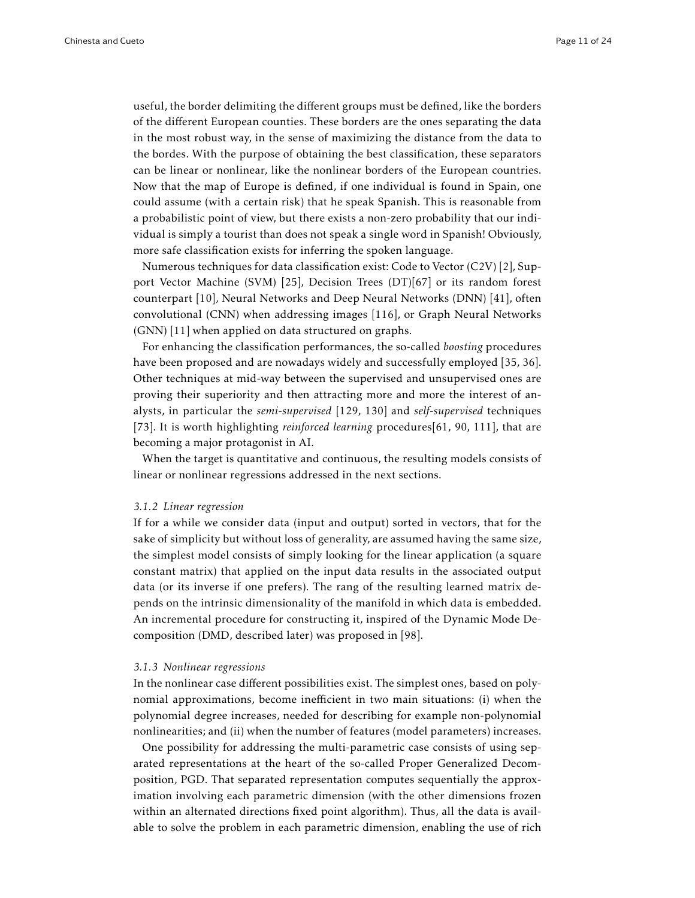useful, the border delimiting the different groups must be defined, like the borders of the different European counties. These borders are the ones separating the data in the most robust way, in the sense of maximizing the distance from the data to the bordes. With the purpose of obtaining the best classification, these separators can be linear or nonlinear, like the nonlinear borders of the European countries. Now that the map of Europe is defined, if one individual is found in Spain, one could assume (with a certain risk) that he speak Spanish. This is reasonable from a probabilistic point of view, but there exists a non-zero probability that our individual is simply a tourist than does not speak a single word in Spanish! Obviously, more safe classification exists for inferring the spoken language.

Numerous techniques for data classification exist: Code to Vector (C2V) [2], Support Vector Machine (SVM) [25], Decision Trees (DT)[67] or its random forest counterpart [10], Neural Networks and Deep Neural Networks (DNN) [41], often convolutional (CNN) when addressing images [116], or Graph Neural Networks (GNN) [11] when applied on data structured on graphs.

For enhancing the classification performances, the so-called *boosting* procedures have been proposed and are nowadays widely and successfully employed [35, 36]. Other techniques at mid-way between the supervised and unsupervised ones are proving their superiority and then attracting more and more the interest of analysts, in particular the *semi-supervised* [129, 130] and *self-supervised* techniques [73]. It is worth highlighting *reinforced learning* procedures[61, 90, 111], that are becoming a major protagonist in AI.

When the target is quantitative and continuous, the resulting models consists of linear or nonlinear regressions addressed in the next sections.

#### *3.1.2 Linear regression*

If for a while we consider data (input and output) sorted in vectors, that for the sake of simplicity but without loss of generality, are assumed having the same size, the simplest model consists of simply looking for the linear application (a square constant matrix) that applied on the input data results in the associated output data (or its inverse if one prefers). The rang of the resulting learned matrix depends on the intrinsic dimensionality of the manifold in which data is embedded. An incremental procedure for constructing it, inspired of the Dynamic Mode Decomposition (DMD, described later) was proposed in [98].

## *3.1.3 Nonlinear regressions*

In the nonlinear case different possibilities exist. The simplest ones, based on polynomial approximations, become inefficient in two main situations: (i) when the polynomial degree increases, needed for describing for example non-polynomial nonlinearities; and (ii) when the number of features (model parameters) increases.

One possibility for addressing the multi-parametric case consists of using separated representations at the heart of the so-called Proper Generalized Decomposition, PGD. That separated representation computes sequentially the approximation involving each parametric dimension (with the other dimensions frozen within an alternated directions fixed point algorithm). Thus, all the data is available to solve the problem in each parametric dimension, enabling the use of rich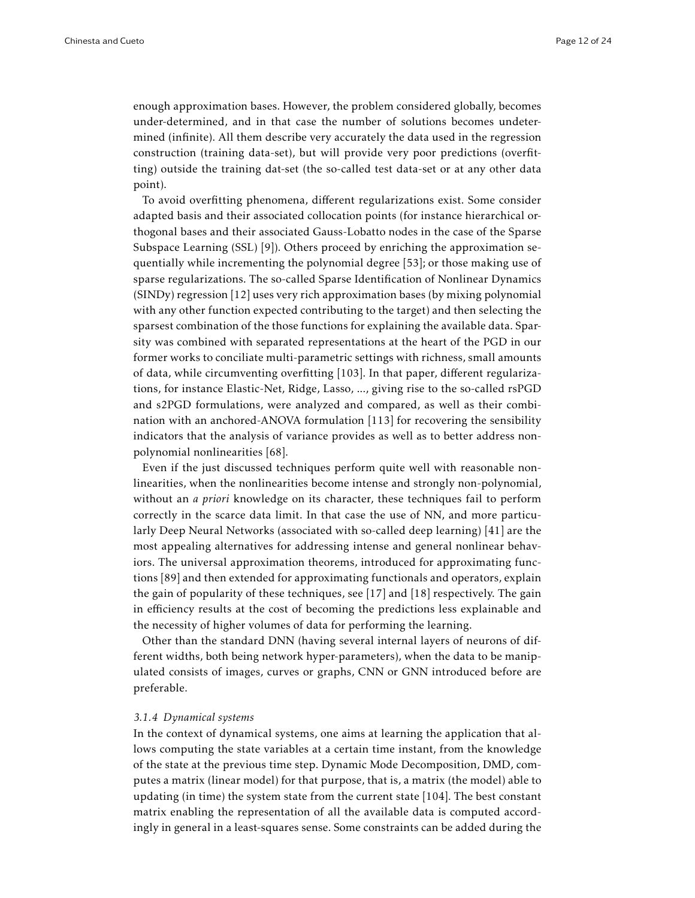enough approximation bases. However, the problem considered globally, becomes under-determined, and in that case the number of solutions becomes undetermined (infinite). All them describe very accurately the data used in the regression construction (training data-set), but will provide very poor predictions (overfitting) outside the training dat-set (the so-called test data-set or at any other data point).

To avoid overfitting phenomena, different regularizations exist. Some consider adapted basis and their associated collocation points (for instance hierarchical orthogonal bases and their associated Gauss-Lobatto nodes in the case of the Sparse Subspace Learning (SSL) [9]). Others proceed by enriching the approximation sequentially while incrementing the polynomial degree [53]; or those making use of sparse regularizations. The so-called Sparse Identification of Nonlinear Dynamics (SINDy) regression [12] uses very rich approximation bases (by mixing polynomial with any other function expected contributing to the target) and then selecting the sparsest combination of the those functions for explaining the available data. Sparsity was combined with separated representations at the heart of the PGD in our former works to conciliate multi-parametric settings with richness, small amounts of data, while circumventing overfitting [103]. In that paper, different regularizations, for instance Elastic-Net, Ridge, Lasso, ..., giving rise to the so-called rsPGD and s2PGD formulations, were analyzed and compared, as well as their combination with an anchored-ANOVA formulation [113] for recovering the sensibility indicators that the analysis of variance provides as well as to better address nonpolynomial nonlinearities [68].

Even if the just discussed techniques perform quite well with reasonable nonlinearities, when the nonlinearities become intense and strongly non-polynomial, without an *a priori* knowledge on its character, these techniques fail to perform correctly in the scarce data limit. In that case the use of NN, and more particularly Deep Neural Networks (associated with so-called deep learning) [41] are the most appealing alternatives for addressing intense and general nonlinear behaviors. The universal approximation theorems, introduced for approximating functions [89] and then extended for approximating functionals and operators, explain the gain of popularity of these techniques, see [17] and [18] respectively. The gain in efficiency results at the cost of becoming the predictions less explainable and the necessity of higher volumes of data for performing the learning.

Other than the standard DNN (having several internal layers of neurons of different widths, both being network hyper-parameters), when the data to be manipulated consists of images, curves or graphs, CNN or GNN introduced before are preferable.

#### *3.1.4 Dynamical systems*

In the context of dynamical systems, one aims at learning the application that allows computing the state variables at a certain time instant, from the knowledge of the state at the previous time step. Dynamic Mode Decomposition, DMD, computes a matrix (linear model) for that purpose, that is, a matrix (the model) able to updating (in time) the system state from the current state [104]. The best constant matrix enabling the representation of all the available data is computed accordingly in general in a least-squares sense. Some constraints can be added during the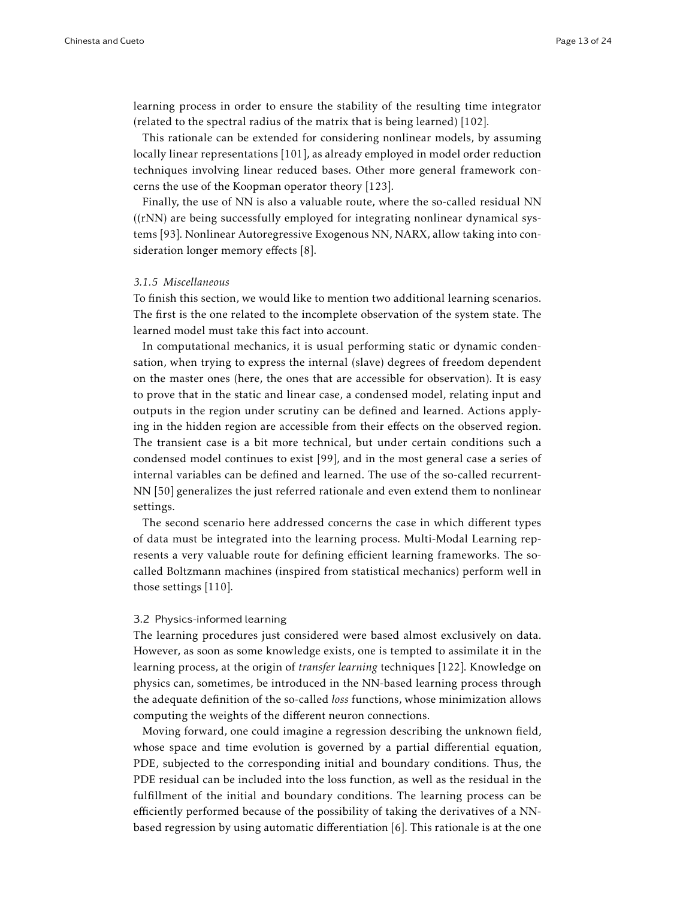learning process in order to ensure the stability of the resulting time integrator (related to the spectral radius of the matrix that is being learned) [102].

This rationale can be extended for considering nonlinear models, by assuming locally linear representations [101], as already employed in model order reduction techniques involving linear reduced bases. Other more general framework concerns the use of the Koopman operator theory [123].

Finally, the use of NN is also a valuable route, where the so-called residual NN ((rNN) are being successfully employed for integrating nonlinear dynamical systems [93]. Nonlinear Autoregressive Exogenous NN, NARX, allow taking into consideration longer memory effects [8].

## *3.1.5 Miscellaneous*

To finish this section, we would like to mention two additional learning scenarios. The first is the one related to the incomplete observation of the system state. The learned model must take this fact into account.

In computational mechanics, it is usual performing static or dynamic condensation, when trying to express the internal (slave) degrees of freedom dependent on the master ones (here, the ones that are accessible for observation). It is easy to prove that in the static and linear case, a condensed model, relating input and outputs in the region under scrutiny can be defined and learned. Actions applying in the hidden region are accessible from their effects on the observed region. The transient case is a bit more technical, but under certain conditions such a condensed model continues to exist [99], and in the most general case a series of internal variables can be defined and learned. The use of the so-called recurrent-NN [50] generalizes the just referred rationale and even extend them to nonlinear settings.

The second scenario here addressed concerns the case in which different types of data must be integrated into the learning process. Multi-Modal Learning represents a very valuable route for defining efficient learning frameworks. The socalled Boltzmann machines (inspired from statistical mechanics) perform well in those settings [110].

#### 3.2 Physics-informed learning

The learning procedures just considered were based almost exclusively on data. However, as soon as some knowledge exists, one is tempted to assimilate it in the learning process, at the origin of *transfer learning* techniques [122]. Knowledge on physics can, sometimes, be introduced in the NN-based learning process through the adequate definition of the so-called *loss* functions, whose minimization allows computing the weights of the different neuron connections.

Moving forward, one could imagine a regression describing the unknown field, whose space and time evolution is governed by a partial differential equation, PDE, subjected to the corresponding initial and boundary conditions. Thus, the PDE residual can be included into the loss function, as well as the residual in the fulfillment of the initial and boundary conditions. The learning process can be efficiently performed because of the possibility of taking the derivatives of a NNbased regression by using automatic differentiation  $[6]$ . This rationale is at the one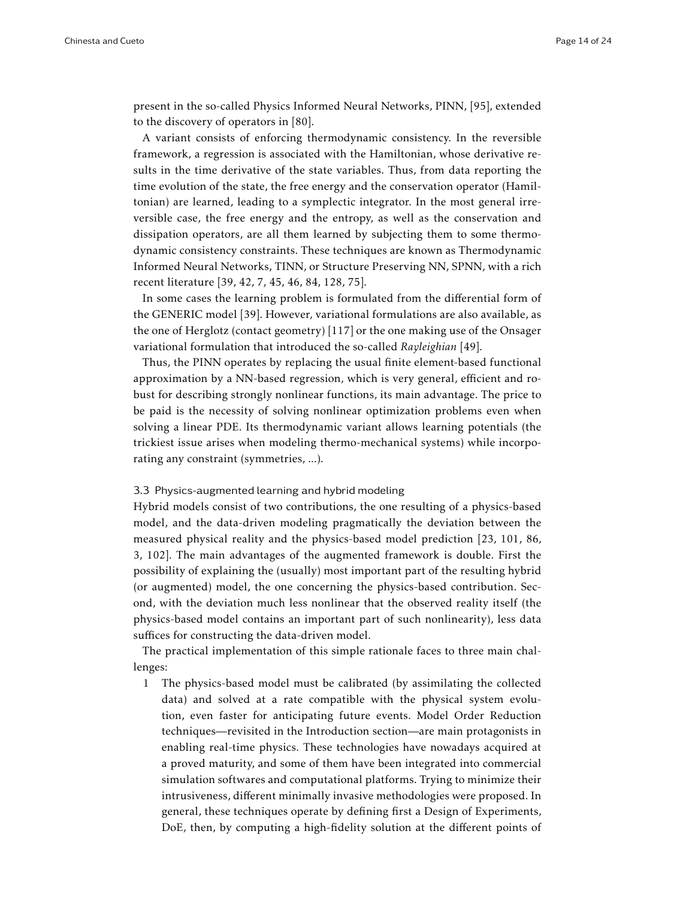present in the so-called Physics Informed Neural Networks, PINN, [95], extended to the discovery of operators in [80].

A variant consists of enforcing thermodynamic consistency. In the reversible framework, a regression is associated with the Hamiltonian, whose derivative results in the time derivative of the state variables. Thus, from data reporting the time evolution of the state, the free energy and the conservation operator (Hamiltonian) are learned, leading to a symplectic integrator. In the most general irreversible case, the free energy and the entropy, as well as the conservation and dissipation operators, are all them learned by subjecting them to some thermodynamic consistency constraints. These techniques are known as Thermodynamic Informed Neural Networks, TINN, or Structure Preserving NN, SPNN, with a rich recent literature [39, 42, 7, 45, 46, 84, 128, 75].

In some cases the learning problem is formulated from the differential form of the GENERIC model [39]. However, variational formulations are also available, as the one of Herglotz (contact geometry) [117] or the one making use of the Onsager variational formulation that introduced the so-called *Rayleighian* [49].

Thus, the PINN operates by replacing the usual finite element-based functional approximation by a NN-based regression, which is very general, efficient and robust for describing strongly nonlinear functions, its main advantage. The price to be paid is the necessity of solving nonlinear optimization problems even when solving a linear PDE. Its thermodynamic variant allows learning potentials (the trickiest issue arises when modeling thermo-mechanical systems) while incorporating any constraint (symmetries, ...).

#### 3.3 Physics-augmented learning and hybrid modeling

Hybrid models consist of two contributions, the one resulting of a physics-based model, and the data-driven modeling pragmatically the deviation between the measured physical reality and the physics-based model prediction [23, 101, 86, 3, 102]. The main advantages of the augmented framework is double. First the possibility of explaining the (usually) most important part of the resulting hybrid (or augmented) model, the one concerning the physics-based contribution. Second, with the deviation much less nonlinear that the observed reality itself (the physics-based model contains an important part of such nonlinearity), less data suffices for constructing the data-driven model.

The practical implementation of this simple rationale faces to three main challenges:

1 The physics-based model must be calibrated (by assimilating the collected data) and solved at a rate compatible with the physical system evolution, even faster for anticipating future events. Model Order Reduction techniques—revisited in the Introduction section—are main protagonists in enabling real-time physics. These technologies have nowadays acquired at a proved maturity, and some of them have been integrated into commercial simulation softwares and computational platforms. Trying to minimize their intrusiveness, different minimally invasive methodologies were proposed. In general, these techniques operate by defining first a Design of Experiments, DoE, then, by computing a high-fidelity solution at the different points of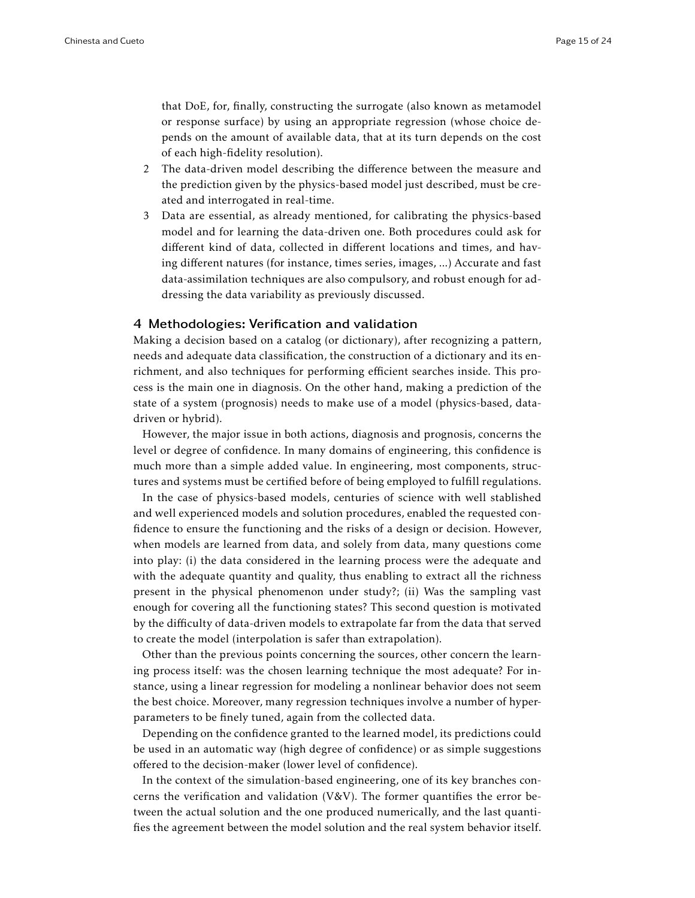that DoE, for, finally, constructing the surrogate (also known as metamodel or response surface) by using an appropriate regression (whose choice depends on the amount of available data, that at its turn depends on the cost of each high-fidelity resolution).

- 2 The data-driven model describing the difference between the measure and the prediction given by the physics-based model just described, must be created and interrogated in real-time.
- 3 Data are essential, as already mentioned, for calibrating the physics-based model and for learning the data-driven one. Both procedures could ask for different kind of data, collected in different locations and times, and having different natures (for instance, times series, images, ...) Accurate and fast data-assimilation techniques are also compulsory, and robust enough for addressing the data variability as previously discussed.

# 4 Methodologies: Verification and validation

Making a decision based on a catalog (or dictionary), after recognizing a pattern, needs and adequate data classification, the construction of a dictionary and its enrichment, and also techniques for performing efficient searches inside. This process is the main one in diagnosis. On the other hand, making a prediction of the state of a system (prognosis) needs to make use of a model (physics-based, datadriven or hybrid).

However, the major issue in both actions, diagnosis and prognosis, concerns the level or degree of confidence. In many domains of engineering, this confidence is much more than a simple added value. In engineering, most components, structures and systems must be certified before of being employed to fulfill regulations.

In the case of physics-based models, centuries of science with well stablished and well experienced models and solution procedures, enabled the requested confidence to ensure the functioning and the risks of a design or decision. However, when models are learned from data, and solely from data, many questions come into play: (i) the data considered in the learning process were the adequate and with the adequate quantity and quality, thus enabling to extract all the richness present in the physical phenomenon under study?; (ii) Was the sampling vast enough for covering all the functioning states? This second question is motivated by the difficulty of data-driven models to extrapolate far from the data that served to create the model (interpolation is safer than extrapolation).

Other than the previous points concerning the sources, other concern the learning process itself: was the chosen learning technique the most adequate? For instance, using a linear regression for modeling a nonlinear behavior does not seem the best choice. Moreover, many regression techniques involve a number of hyperparameters to be finely tuned, again from the collected data.

Depending on the confidence granted to the learned model, its predictions could be used in an automatic way (high degree of confidence) or as simple suggestions offered to the decision-maker (lower level of confidence).

In the context of the simulation-based engineering, one of its key branches concerns the verification and validation (V&V). The former quantifies the error between the actual solution and the one produced numerically, and the last quantifies the agreement between the model solution and the real system behavior itself.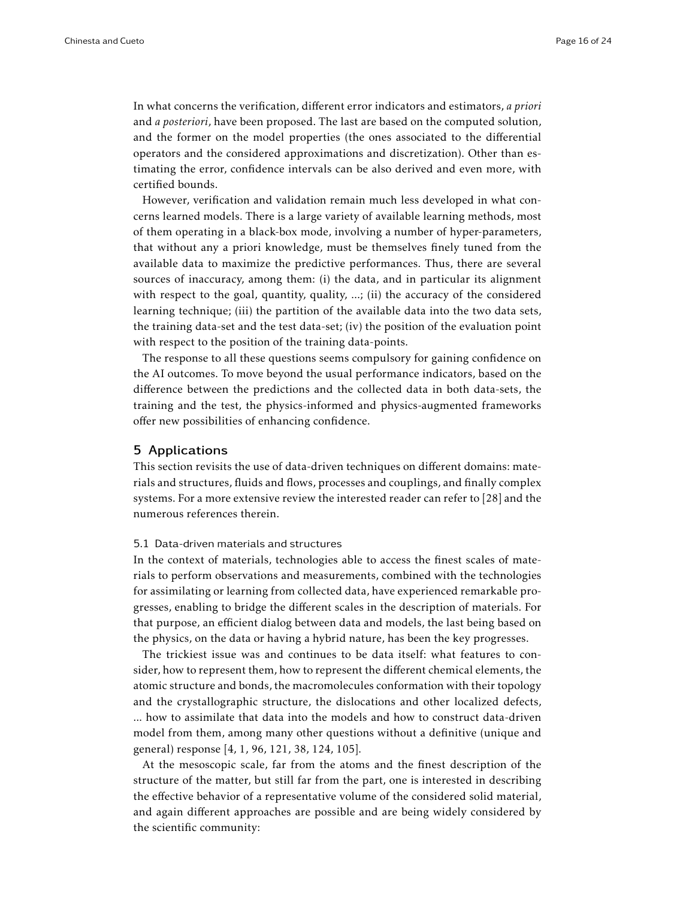In what concerns the verification, different error indicators and estimators, *a priori* and *a posteriori*, have been proposed. The last are based on the computed solution, and the former on the model properties (the ones associated to the differential operators and the considered approximations and discretization). Other than estimating the error, confidence intervals can be also derived and even more, with certified bounds.

However, verification and validation remain much less developed in what concerns learned models. There is a large variety of available learning methods, most of them operating in a black-box mode, involving a number of hyper-parameters, that without any a priori knowledge, must be themselves finely tuned from the available data to maximize the predictive performances. Thus, there are several sources of inaccuracy, among them: (i) the data, and in particular its alignment with respect to the goal, quantity, quality, ...; (ii) the accuracy of the considered learning technique; (iii) the partition of the available data into the two data sets, the training data-set and the test data-set; (iv) the position of the evaluation point with respect to the position of the training data-points.

The response to all these questions seems compulsory for gaining confidence on the AI outcomes. To move beyond the usual performance indicators, based on the difference between the predictions and the collected data in both data-sets, the training and the test, the physics-informed and physics-augmented frameworks offer new possibilities of enhancing confidence.

## 5 Applications

This section revisits the use of data-driven techniques on different domains: materials and structures, fluids and flows, processes and couplings, and finally complex systems. For a more extensive review the interested reader can refer to [28] and the numerous references therein.

# 5.1 Data-driven materials and structures

In the context of materials, technologies able to access the finest scales of materials to perform observations and measurements, combined with the technologies for assimilating or learning from collected data, have experienced remarkable progresses, enabling to bridge the different scales in the description of materials. For that purpose, an efficient dialog between data and models, the last being based on the physics, on the data or having a hybrid nature, has been the key progresses.

The trickiest issue was and continues to be data itself: what features to consider, how to represent them, how to represent the different chemical elements, the atomic structure and bonds, the macromolecules conformation with their topology and the crystallographic structure, the dislocations and other localized defects, ... how to assimilate that data into the models and how to construct data-driven model from them, among many other questions without a definitive (unique and general) response [4, 1, 96, 121, 38, 124, 105].

At the mesoscopic scale, far from the atoms and the finest description of the structure of the matter, but still far from the part, one is interested in describing the effective behavior of a representative volume of the considered solid material, and again different approaches are possible and are being widely considered by the scientific community: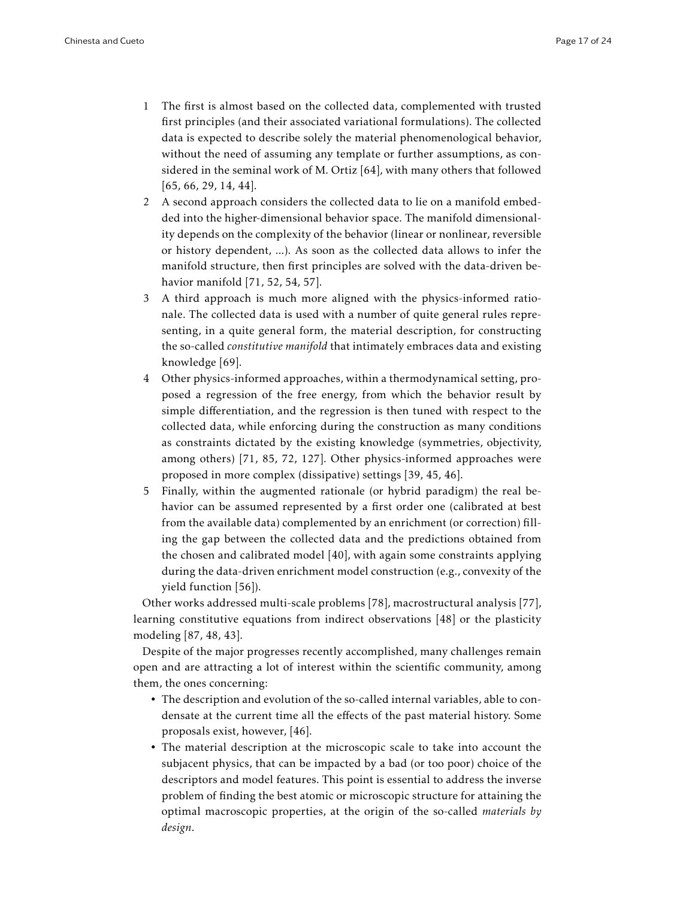- 1 The first is almost based on the collected data, complemented with trusted first principles (and their associated variational formulations). The collected data is expected to describe solely the material phenomenological behavior, without the need of assuming any template or further assumptions, as considered in the seminal work of M. Ortiz [64], with many others that followed [65, 66, 29, 14, 44].
- 2 A second approach considers the collected data to lie on a manifold embedded into the higher-dimensional behavior space. The manifold dimensionality depends on the complexity of the behavior (linear or nonlinear, reversible or history dependent, ...). As soon as the collected data allows to infer the manifold structure, then first principles are solved with the data-driven behavior manifold [71, 52, 54, 57].
- 3 A third approach is much more aligned with the physics-informed rationale. The collected data is used with a number of quite general rules representing, in a quite general form, the material description, for constructing the so-called *constitutive manifold* that intimately embraces data and existing knowledge [69].
- 4 Other physics-informed approaches, within a thermodynamical setting, proposed a regression of the free energy, from which the behavior result by simple differentiation, and the regression is then tuned with respect to the collected data, while enforcing during the construction as many conditions as constraints dictated by the existing knowledge (symmetries, objectivity, among others) [71, 85, 72, 127]. Other physics-informed approaches were proposed in more complex (dissipative) settings [39, 45, 46].
- 5 Finally, within the augmented rationale (or hybrid paradigm) the real behavior can be assumed represented by a first order one (calibrated at best from the available data) complemented by an enrichment (or correction) filling the gap between the collected data and the predictions obtained from the chosen and calibrated model [40], with again some constraints applying during the data-driven enrichment model construction (e.g., convexity of the yield function [56]).

Other works addressed multi-scale problems [78], macrostructural analysis [77], learning constitutive equations from indirect observations [48] or the plasticity modeling [87, 48, 43].

Despite of the major progresses recently accomplished, many challenges remain open and are attracting a lot of interest within the scientific community, among them, the ones concerning:

- The description and evolution of the so-called internal variables, able to condensate at the current time all the effects of the past material history. Some proposals exist, however, [46].
- The material description at the microscopic scale to take into account the subjacent physics, that can be impacted by a bad (or too poor) choice of the descriptors and model features. This point is essential to address the inverse problem of finding the best atomic or microscopic structure for attaining the optimal macroscopic properties, at the origin of the so-called *materials by design*.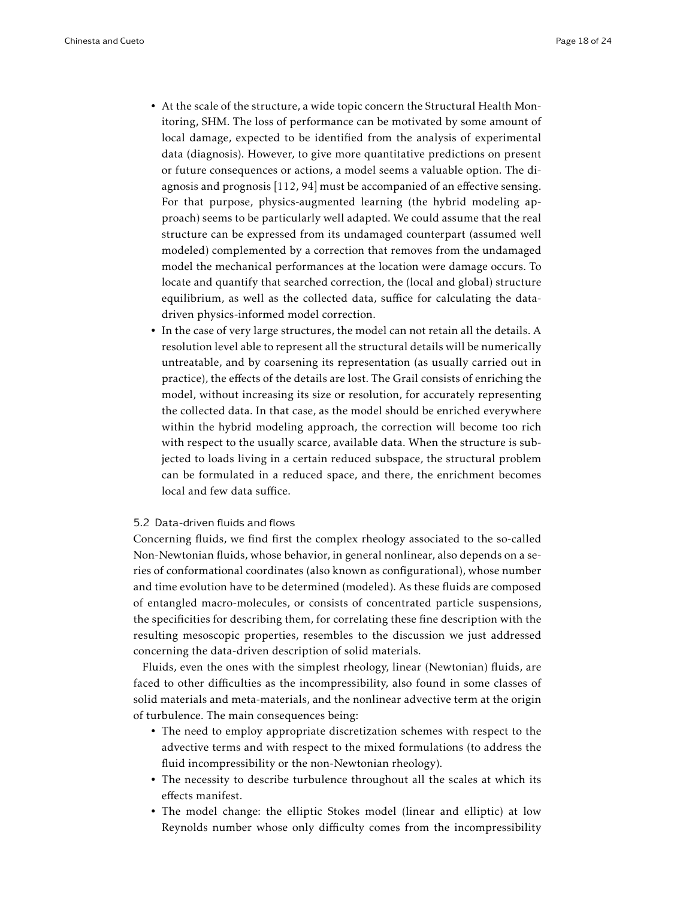- At the scale of the structure, a wide topic concern the Structural Health Monitoring, SHM. The loss of performance can be motivated by some amount of local damage, expected to be identified from the analysis of experimental data (diagnosis). However, to give more quantitative predictions on present or future consequences or actions, a model seems a valuable option. The diagnosis and prognosis [112, 94] must be accompanied of an effective sensing. For that purpose, physics-augmented learning (the hybrid modeling approach) seems to be particularly well adapted. We could assume that the real structure can be expressed from its undamaged counterpart (assumed well modeled) complemented by a correction that removes from the undamaged model the mechanical performances at the location were damage occurs. To locate and quantify that searched correction, the (local and global) structure equilibrium, as well as the collected data, suffice for calculating the datadriven physics-informed model correction.
- In the case of very large structures, the model can not retain all the details. A resolution level able to represent all the structural details will be numerically untreatable, and by coarsening its representation (as usually carried out in practice), the effects of the details are lost. The Grail consists of enriching the model, without increasing its size or resolution, for accurately representing the collected data. In that case, as the model should be enriched everywhere within the hybrid modeling approach, the correction will become too rich with respect to the usually scarce, available data. When the structure is subjected to loads living in a certain reduced subspace, the structural problem can be formulated in a reduced space, and there, the enrichment becomes local and few data suffice.

# 5.2 Data-driven fluids and flows

Concerning fluids, we find first the complex rheology associated to the so-called Non-Newtonian fluids, whose behavior, in general nonlinear, also depends on a series of conformational coordinates (also known as configurational), whose number and time evolution have to be determined (modeled). As these fluids are composed of entangled macro-molecules, or consists of concentrated particle suspensions, the specificities for describing them, for correlating these fine description with the resulting mesoscopic properties, resembles to the discussion we just addressed concerning the data-driven description of solid materials.

Fluids, even the ones with the simplest rheology, linear (Newtonian) fluids, are faced to other difficulties as the incompressibility, also found in some classes of solid materials and meta-materials, and the nonlinear advective term at the origin of turbulence. The main consequences being:

- The need to employ appropriate discretization schemes with respect to the advective terms and with respect to the mixed formulations (to address the fluid incompressibility or the non-Newtonian rheology).
- The necessity to describe turbulence throughout all the scales at which its effects manifest.
- The model change: the elliptic Stokes model (linear and elliptic) at low Reynolds number whose only difficulty comes from the incompressibility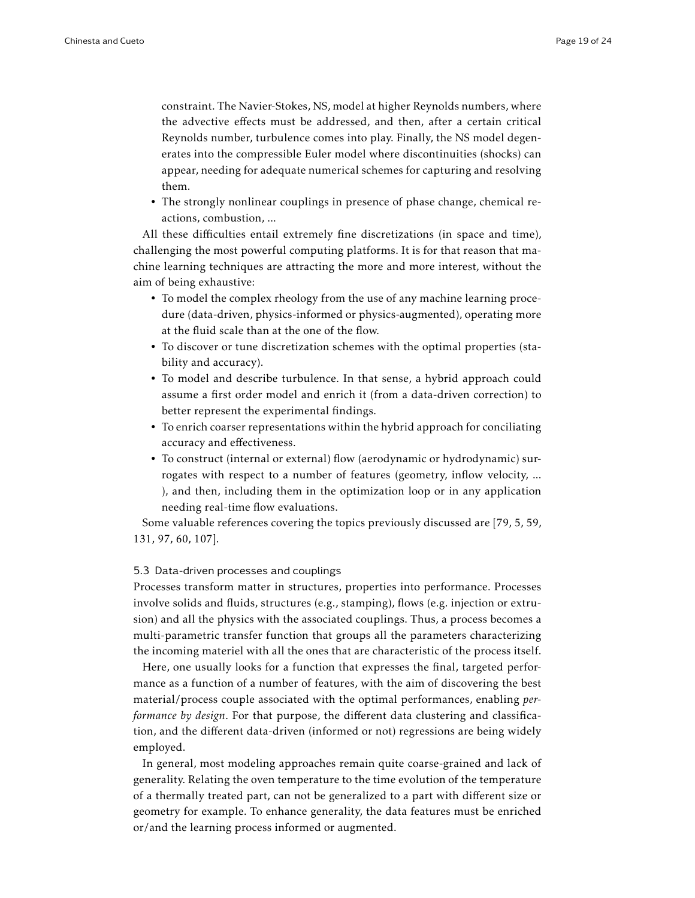constraint. The Navier-Stokes, NS, model at higher Reynolds numbers, where the advective effects must be addressed, and then, after a certain critical Reynolds number, turbulence comes into play. Finally, the NS model degenerates into the compressible Euler model where discontinuities (shocks) can appear, needing for adequate numerical schemes for capturing and resolving them.

• The strongly nonlinear couplings in presence of phase change, chemical reactions, combustion, ...

All these difficulties entail extremely fine discretizations (in space and time), challenging the most powerful computing platforms. It is for that reason that machine learning techniques are attracting the more and more interest, without the aim of being exhaustive:

- To model the complex rheology from the use of any machine learning procedure (data-driven, physics-informed or physics-augmented), operating more at the fluid scale than at the one of the flow.
- To discover or tune discretization schemes with the optimal properties (stability and accuracy).
- To model and describe turbulence. In that sense, a hybrid approach could assume a first order model and enrich it (from a data-driven correction) to better represent the experimental findings.
- To enrich coarser representations within the hybrid approach for conciliating accuracy and effectiveness.
- To construct (internal or external) flow (aerodynamic or hydrodynamic) surrogates with respect to a number of features (geometry, inflow velocity, ... ), and then, including them in the optimization loop or in any application needing real-time flow evaluations.

Some valuable references covering the topics previously discussed are [79, 5, 59, 131, 97, 60, 107].

## 5.3 Data-driven processes and couplings

Processes transform matter in structures, properties into performance. Processes involve solids and fluids, structures (e.g., stamping), flows (e.g. injection or extrusion) and all the physics with the associated couplings. Thus, a process becomes a multi-parametric transfer function that groups all the parameters characterizing the incoming materiel with all the ones that are characteristic of the process itself.

Here, one usually looks for a function that expresses the final, targeted performance as a function of a number of features, with the aim of discovering the best material/process couple associated with the optimal performances, enabling *performance by design*. For that purpose, the different data clustering and classification, and the different data-driven (informed or not) regressions are being widely employed.

In general, most modeling approaches remain quite coarse-grained and lack of generality. Relating the oven temperature to the time evolution of the temperature of a thermally treated part, can not be generalized to a part with different size or geometry for example. To enhance generality, the data features must be enriched or/and the learning process informed or augmented.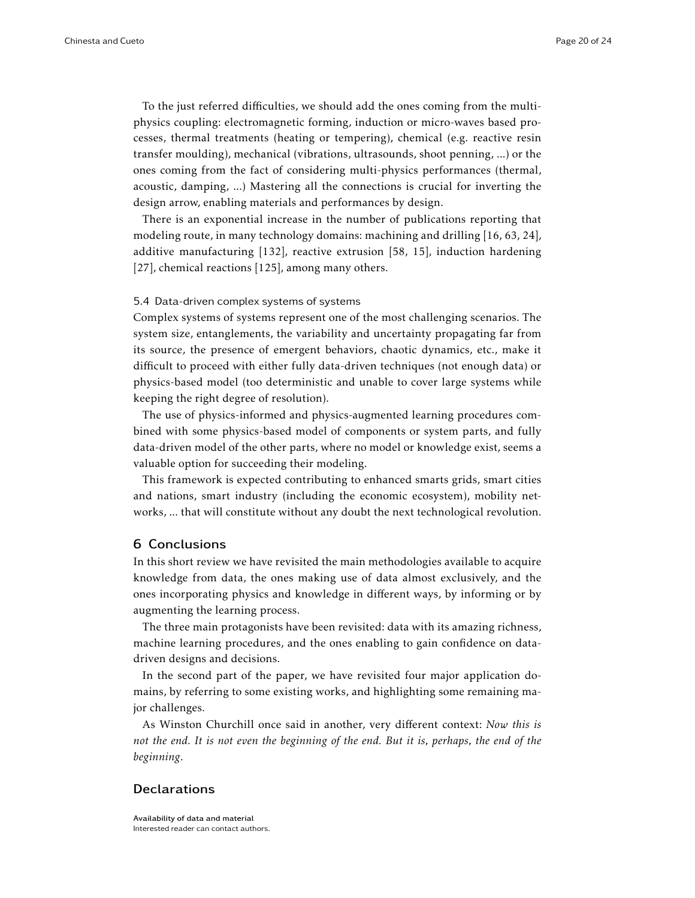To the just referred difficulties, we should add the ones coming from the multiphysics coupling: electromagnetic forming, induction or micro-waves based processes, thermal treatments (heating or tempering), chemical (e.g. reactive resin transfer moulding), mechanical (vibrations, ultrasounds, shoot penning, ...) or the ones coming from the fact of considering multi-physics performances (thermal, acoustic, damping, ...) Mastering all the connections is crucial for inverting the design arrow, enabling materials and performances by design.

There is an exponential increase in the number of publications reporting that modeling route, in many technology domains: machining and drilling [16, 63, 24], additive manufacturing [132], reactive extrusion [58, 15], induction hardening [27], chemical reactions [125], among many others.

#### 5.4 Data-driven complex systems of systems

Complex systems of systems represent one of the most challenging scenarios. The system size, entanglements, the variability and uncertainty propagating far from its source, the presence of emergent behaviors, chaotic dynamics, etc., make it difficult to proceed with either fully data-driven techniques (not enough data) or physics-based model (too deterministic and unable to cover large systems while keeping the right degree of resolution).

The use of physics-informed and physics-augmented learning procedures combined with some physics-based model of components or system parts, and fully data-driven model of the other parts, where no model or knowledge exist, seems a valuable option for succeeding their modeling.

This framework is expected contributing to enhanced smarts grids, smart cities and nations, smart industry (including the economic ecosystem), mobility networks, ... that will constitute without any doubt the next technological revolution.

# 6 Conclusions

In this short review we have revisited the main methodologies available to acquire knowledge from data, the ones making use of data almost exclusively, and the ones incorporating physics and knowledge in different ways, by informing or by augmenting the learning process.

The three main protagonists have been revisited: data with its amazing richness, machine learning procedures, and the ones enabling to gain confidence on datadriven designs and decisions.

In the second part of the paper, we have revisited four major application domains, by referring to some existing works, and highlighting some remaining major challenges.

As Winston Churchill once said in another, very different context: *Now this is not the end. It is not even the beginning of the end. But it is, perhaps, the end of the beginning*.

# Declarations

Availability of data and material Interested reader can contact authors.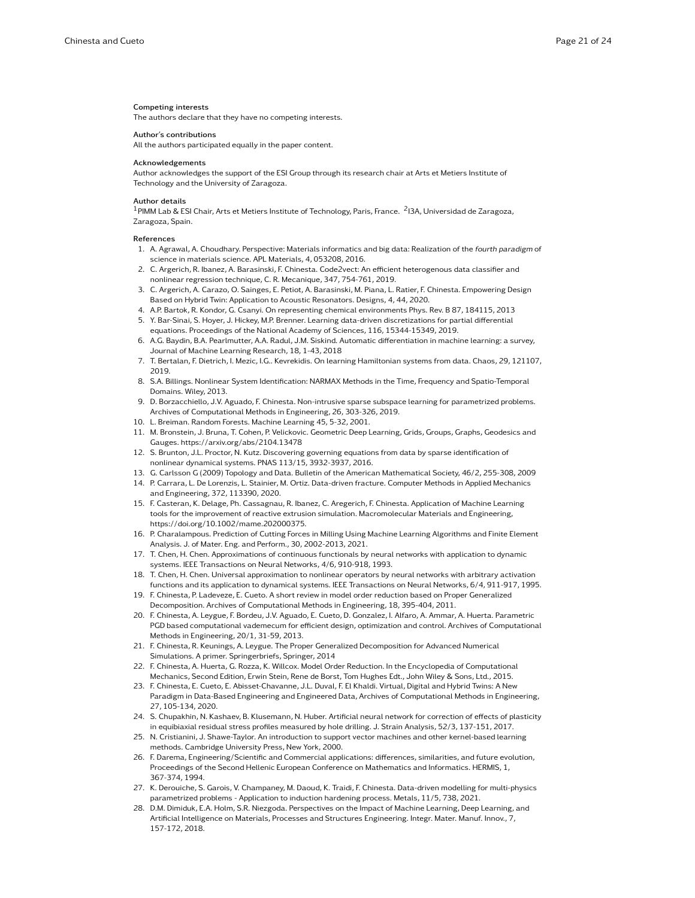#### Competing interests

The authors declare that they have no competing interests.

#### Author's contributions

All the authors participated equally in the paper content.

#### Acknowledgements

Author acknowledges the support of the ESI Group through its research chair at Arts et Metiers Institute of Technology and the University of Zaragoza.

#### Author details

 $^{\rm 1}$ PIMM Lab & ESI Chair, Arts et Metiers Institute of Technology, Paris, France.  $^{\rm 2}$ I3A, Universidad de Zaragoza, Zaragoza, Spain.

#### References

- 1. A. Agrawal, A. Choudhary. Perspective: Materials informatics and big data: Realization of the fourth paradigm of science in materials science. APL Materials, 4, 053208, 2016.
- 2. C. Argerich, R. Ibanez, A. Barasinski, F. Chinesta. Code2vect: An efficient heterogenous data classifier and nonlinear regression technique, C. R. Mecanique, 347, 754-761, 2019.
- 3. C. Argerich, A. Carazo, O. Sainges, E. Petiot, A. Barasinski, M. Piana, L. Ratier, F. Chinesta. Empowering Design Based on Hybrid Twin: Application to Acoustic Resonators. Designs, 4, 44, 2020.
- 4. A.P. Bartok, R. Kondor, G. Csanyi. On representing chemical environments Phys. Rev. B 87, 184115, 2013
- 5. Y. Bar-Sinai, S. Hoyer, J. Hickey, M.P. Brenner. Learning data-driven discretizations for partial differential equations. Proceedings of the National Academy of Sciences, 116, 15344-15349, 2019.
- 6. A.G. Baydin, B.A. Pearlmutter, A.A. Radul, J.M. Siskind. Automatic differentiation in machine learning: a survey, Journal of Machine Learning Research, 18, 1-43, 2018
- 7. T. Bertalan, F. Dietrich, I. Mezic, I.G.. Kevrekidis. On learning Hamiltonian systems from data. Chaos, 29, 121107, 2019.
- 8. S.A. Billings. Nonlinear System Identification: NARMAX Methods in the Time, Frequency and Spatio-Temporal Domains. Wiley, 2013.
- 9. D. Borzacchiello, J.V. Aguado, F. Chinesta. Non-intrusive sparse subspace learning for parametrized problems. Archives of Computational Methods in Engineering, 26, 303-326, 2019.
- 10. L. Breiman. Random Forests. Machine Learning 45, 5-32, 2001.
- 11. M. Bronstein, J. Bruna, T. Cohen, P. Velickovic. Geometric Deep Learning, Grids, Groups, Graphs, Geodesics and Gauges. https://arxiv.org/abs/2104.13478
- 12. S. Brunton, J.L. Proctor, N. Kutz. Discovering governing equations from data by sparse identification of nonlinear dynamical systems. PNAS 113/15, 3932-3937, 2016.
- 13. G. Carlsson G (2009) Topology and Data. Bulletin of the American Mathematical Society, 46/2, 255-308, 2009
- 14. P. Carrara, L. De Lorenzis, L. Stainier, M. Ortiz. Data-driven fracture. Computer Methods in Applied Mechanics and Engineering, 372, 113390, 2020.
- 15. F. Casteran, K. Delage, Ph. Cassagnau, R. Ibanez, C. Aregerich, F. Chinesta. Application of Machine Learning tools for the improvement of reactive extrusion simulation. Macromolecular Materials and Engineering, https://doi.org/10.1002/mame.202000375.
- 16. P. Charalampous. Prediction of Cutting Forces in Milling Using Machine Learning Algorithms and Finite Element Analysis. J. of Mater. Eng. and Perform., 30, 2002-2013, 2021.
- 17. T. Chen, H. Chen. Approximations of continuous functionals by neural networks with application to dynamic systems. IEEE Transactions on Neural Networks, 4/6, 910-918, 1993.
- 18. T. Chen, H. Chen. Universal approximation to nonlinear operators by neural networks with arbitrary activation functions and its application to dynamical systems. IEEE Transactions on Neural Networks, 6/4, 911-917, 1995.
- 19. F. Chinesta, P. Ladeveze, E. Cueto. A short review in model order reduction based on Proper Generalized Decomposition. Archives of Computational Methods in Engineering, 18, 395-404, 2011.
- 20. F. Chinesta, A. Leygue, F. Bordeu, J.V. Aguado, E. Cueto, D. Gonzalez, I. Alfaro, A. Ammar, A. Huerta. Parametric PGD based computational vademecum for efficient design, optimization and control. Archives of Computational Methods in Engineering, 20/1, 31-59, 2013.
- 21. F. Chinesta, R. Keunings, A. Leygue. The Proper Generalized Decomposition for Advanced Numerical Simulations. A primer. Springerbriefs, Springer, 2014
- 22. F. Chinesta, A. Huerta, G. Rozza, K. Willcox. Model Order Reduction. In the Encyclopedia of Computational Mechanics, Second Edition, Erwin Stein, Rene de Borst, Tom Hughes Edt., John Wiley & Sons, Ltd., 2015.
- 23. F. Chinesta, E. Cueto, E. Abisset-Chavanne, J.L. Duval, F. El Khaldi. Virtual, Digital and Hybrid Twins: A New Paradigm in Data-Based Engineering and Engineered Data, Archives of Computational Methods in Engineering, 27, 105-134, 2020.
- 24. S. Chupakhin, N. Kashaev, B. Klusemann, N. Huber. Artificial neural network for correction of effects of plasticity in equibiaxial residual stress profiles measured by hole drilling. J. Strain Analysis, 52/3, 137-151, 2017.
- 25. N. Cristianini, J. Shawe-Taylor. An introduction to support vector machines and other kernel-based learning methods. Cambridge University Press, New York, 2000.
- 26. F. Darema, Engineering/Scientific and Commercial applications: differences, similarities, and future evolution, Proceedings of the Second Hellenic European Conference on Mathematics and Informatics. HERMIS, 1, 367-374, 1994.
- 27. K. Derouiche, S. Garois, V. Champaney, M. Daoud, K. Traidi, F. Chinesta. Data-driven modelling for multi-physics parametrized problems - Application to induction hardening process. Metals, 11/5, 738, 2021.
- 28. D.M. Dimiduk, E.A. Holm, S.R. Niezgoda. Perspectives on the Impact of Machine Learning, Deep Learning, and Artificial Intelligence on Materials, Processes and Structures Engineering. Integr. Mater. Manuf. Innov., 7, 157-172, 2018.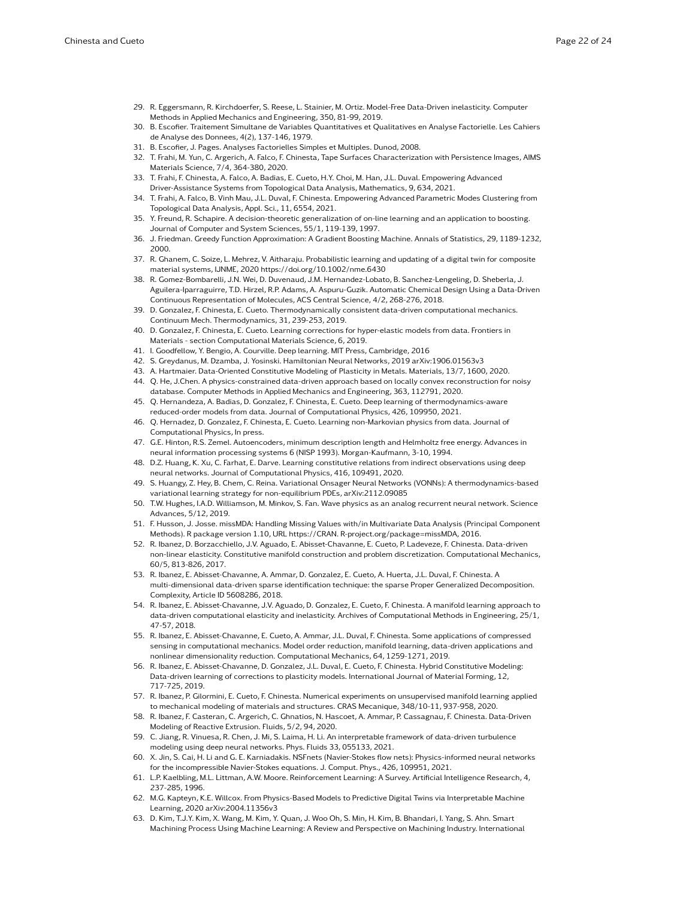- 29. R. Eggersmann, R. Kirchdoerfer, S. Reese, L. Stainier, M. Ortiz. Model-Free Data-Driven inelasticity. Computer Methods in Applied Mechanics and Engineering, 350, 81-99, 2019.
- 30. B. Escofier. Traitement Simultane de Variables Quantitatives et Qualitatives en Analyse Factorielle. Les Cahiers de Analyse des Donnees, 4(2), 137-146, 1979.
- 31. B. Escofier, J. Pages. Analyses Factorielles Simples et Multiples. Dunod, 2008.
- 32. T. Frahi, M. Yun, C. Argerich, A. Falco, F. Chinesta, Tape Surfaces Characterization with Persistence Images, AIMS Materials Science, 7/4, 364-380, 2020.
- 33. T. Frahi, F. Chinesta, A. Falco, A. Badias, E. Cueto, H.Y. Choi, M. Han, J.L. Duval. Empowering Advanced Driver-Assistance Systems from Topological Data Analysis, Mathematics, 9, 634, 2021.
- 34. T. Frahi, A. Falco, B. Vinh Mau, J.L. Duval, F. Chinesta. Empowering Advanced Parametric Modes Clustering from Topological Data Analysis, Appl. Sci., 11, 6554, 2021.
- 35. Y. Freund, R. Schapire. A decision-theoretic generalization of on-line learning and an application to boosting. Journal of Computer and System Sciences, 55/1, 119-139, 1997.
- 36. J. Friedman. Greedy Function Approximation: A Gradient Boosting Machine. Annals of Statistics, 29, 1189-1232, 2000.
- 37. R. Ghanem, C. Soize, L. Mehrez, V. Aitharaju. Probabilistic learning and updating of a digital twin for composite material systems, IJNME, 2020 https://doi.org/10.1002/nme.6430
- 38. R. Gomez-Bombarelli, J.N. Wei, D. Duvenaud, J.M. Hernandez-Lobato, B. Sanchez-Lengeling, D. Sheberla, J. Aguilera-Iparraguirre, T.D. Hirzel, R.P. Adams, A. Aspuru-Guzik. Automatic Chemical Design Using a Data-Driven Continuous Representation of Molecules, ACS Central Science, 4/2, 268-276, 2018.
- 39. D. Gonzalez, F. Chinesta, E. Cueto. Thermodynamically consistent data-driven computational mechanics. Continuum Mech. Thermodynamics, 31, 239-253, 2019.
- 40. D. Gonzalez, F. Chinesta, E. Cueto. Learning corrections for hyper-elastic models from data. Frontiers in Materials - section Computational Materials Science, 6, 2019.
- 41. I. Goodfellow, Y. Bengio, A. Courville. Deep learning. MIT Press, Cambridge, 2016
- 42. S. Greydanus, M. Dzamba, J. Yosinski. Hamiltonian Neural Networks, 2019 arXiv:1906.01563v3
- 43. A. Hartmaier. Data-Oriented Constitutive Modeling of Plasticity in Metals. Materials, 13/7, 1600, 2020.
- 44. Q. He, J.Chen. A physics-constrained data-driven approach based on locally convex reconstruction for noisy database. Computer Methods in Applied Mechanics and Engineering, 363, 112791, 2020.
- 45. Q. Hernandeza, A. Badias, D. Gonzalez, F. Chinesta, E. Cueto. Deep learning of thermodynamics-aware reduced-order models from data. Journal of Computational Physics, 426, 109950, 2021.
- 46. Q. Hernadez, D. Gonzalez, F. Chinesta, E. Cueto. Learning non-Markovian physics from data. Journal of Computational Physics, In press.
- 47. G.E. Hinton, R.S. Zemel. Autoencoders, minimum description length and Helmholtz free energy. Advances in neural information processing systems 6 (NISP 1993). Morgan-Kaufmann, 3-10, 1994.
- 48. D.Z. Huang, K. Xu, C. Farhat, E. Darve. Learning constitutive relations from indirect observations using deep neural networks. Journal of Computational Physics, 416, 109491, 2020.
- 49. S. Huangy, Z. Hey, B. Chem, C. Reina. Variational Onsager Neural Networks (VONNs): A thermodynamics-based variational learning strategy for non-equilibrium PDEs, arXiv:2112.09085
- 50. T.W. Hughes, I.A.D. Williamson, M. Minkov, S. Fan. Wave physics as an analog recurrent neural network. Science Advances, 5/12, 2019.
- 51. F. Husson, J. Josse. missMDA: Handling Missing Values with/in Multivariate Data Analysis (Principal Component Methods). R package version 1.10, URL https://CRAN. R-project.org/package=missMDA, 2016.
- 52. R. Ibanez, D. Borzacchiello, J.V. Aguado, E. Abisset-Chavanne, E. Cueto, P. Ladeveze, F. Chinesta. Data-driven non-linear elasticity. Constitutive manifold construction and problem discretization. Computational Mechanics, 60/5, 813-826, 2017.
- 53. R. Ibanez, E. Abisset-Chavanne, A. Ammar, D. Gonzalez, E. Cueto, A. Huerta, J.L. Duval, F. Chinesta. A multi-dimensional data-driven sparse identification technique: the sparse Proper Generalized Decomposition. Complexity, Article ID 5608286, 2018.
- 54. R. Ibanez, E. Abisset-Chavanne, J.V. Aguado, D. Gonzalez, E. Cueto, F. Chinesta. A manifold learning approach to data-driven computational elasticity and inelasticity. Archives of Computational Methods in Engineering, 25/1, 47-57, 2018.
- 55. R. Ibanez, E. Abisset-Chavanne, E. Cueto, A. Ammar, J.L. Duval, F. Chinesta. Some applications of compressed sensing in computational mechanics. Model order reduction, manifold learning, data-driven applications and nonlinear dimensionality reduction. Computational Mechanics, 64, 1259-1271, 2019.
- 56. R. Ibanez, E. Abisset-Chavanne, D. Gonzalez, J.L. Duval, E. Cueto, F. Chinesta. Hybrid Constitutive Modeling: Data-driven learning of corrections to plasticity models. International Journal of Material Forming, 12, 717-725, 2019.
- 57. R. Ibanez, P. Gilormini, E. Cueto, F. Chinesta. Numerical experiments on unsupervised manifold learning applied to mechanical modeling of materials and structures. CRAS Mecanique, 348/10-11, 937-958, 2020.
- 58. R. Ibanez, F. Casteran, C. Argerich, C. Ghnatios, N. Hascoet, A. Ammar, P. Cassagnau, F. Chinesta. Data-Driven Modeling of Reactive Extrusion. Fluids, 5/2, 94, 2020.
- 59. C. Jiang, R. Vinuesa, R. Chen, J. Mi, S. Laima, H. Li. An interpretable framework of data-driven turbulence modeling using deep neural networks. Phys. Fluids 33, 055133, 2021.
- 60. X. Jin, S. Cai, H. Li and G. E. Karniadakis. NSFnets (Navier-Stokes flow nets): Physics-informed neural networks for the incompressible Navier-Stokes equations. J. Comput. Phys., 426, 109951, 2021.
- 61. L.P. Kaelbling, M.L. Littman, A.W. Moore. Reinforcement Learning: A Survey. Artificial Intelligence Research, 4, 237-285, 1996.
- 62. M.G. Kapteyn, K.E. Willcox. From Physics-Based Models to Predictive Digital Twins via Interpretable Machine Learning, 2020 arXiv:2004.11356v3
- 63. D. Kim, T.J.Y. Kim, X. Wang, M. Kim, Y. Quan, J. Woo Oh, S. Min, H. Kim, B. Bhandari, I. Yang, S. Ahn. Smart Machining Process Using Machine Learning: A Review and Perspective on Machining Industry. International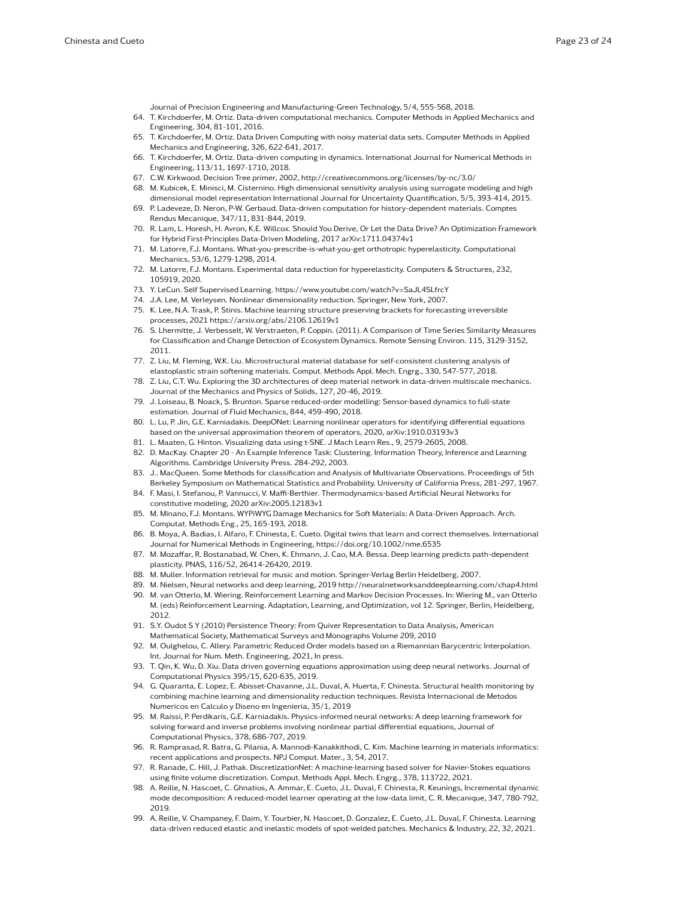Journal of Precision Engineering and Manufacturing-Green Technology, 5/4, 555-568, 2018.

- 64. T. Kirchdoerfer, M. Ortiz. Data-driven computational mechanics. Computer Methods in Applied Mechanics and Engineering, 304, 81-101, 2016.
- 65. T. Kirchdoerfer, M. Ortiz. Data Driven Computing with noisy material data sets. Computer Methods in Applied Mechanics and Engineering, 326, 622-641, 2017.
- 66. T. Kirchdoerfer, M. Ortiz. Data-driven computing in dynamics. International Journal for Numerical Methods in Engineering, 113/11, 1697-1710, 2018.
- 67. C.W. Kirkwood. Decision Tree primer, 2002, http://creativecommons.org/licenses/by-nc/3.0/
- 68. M. Kubicek, E. Minisci, M. Cisternino. High dimensional sensitivity analysis using surrogate modeling and high dimensional model representation International Journal for Uncertainty Quantification, 5/5, 393-414, 2015.
- 69. P. Ladeveze, D. Neron, P-W. Gerbaud. Data-driven computation for history-dependent materials. Comptes Rendus Mecanique, 347/11, 831-844, 2019.
- 70. R. Lam, L. Horesh, H. Avron, K.E. Willcox. Should You Derive, Or Let the Data Drive? An Optimization Framework for Hybrid First-Principles Data-Driven Modeling, 2017 arXiv:1711.04374v1
- 71. M. Latorre, F.J. Montans. What-you-prescribe-is-what-you-get orthotropic hyperelasticity. Computational Mechanics, 53/6, 1279-1298, 2014.
- 72. M. Latorre, F.J. Montans. Experimental data reduction for hyperelasticity. Computers & Structures, 232, 105919, 2020.
- 73. Y. LeCun. Self Supervised Learning. https://www.youtube.com/watch?v=SaJL4SLfrcY
- 74. J.A. Lee, M. Verleysen. Nonlinear dimensionality reduction. Springer, New York, 2007.
- 75. K. Lee, N.A. Trask, P. Stinis. Machine learning structure preserving brackets for forecasting irreversible processes, 2021 https://arxiv.org/abs/2106.12619v1
- 76. S. Lhermitte, J. Verbesselt, W. Verstraeten, P. Coppin. (2011). A Comparison of Time Series Similarity Measures for Classification and Change Detection of Ecosystem Dynamics. Remote Sensing Environ. 115, 3129-3152, 2011.
- 77. Z. Liu, M. Fleming, W.K. Liu. Microstructural material database for self-consistent clustering analysis of elastoplastic strain softening materials. Comput. Methods Appl. Mech. Engrg., 330, 547-577, 2018.
- 78. Z. Liu, C.T. Wu. Exploring the 3D architectures of deep material network in data-driven multiscale mechanics. Journal of the Mechanics and Physics of Solids, 127, 20-46, 2019.
- 79. J. Loiseau, B. Noack, S. Brunton. Sparse reduced-order modelling: Sensor-based dynamics to full-state estimation. Journal of Fluid Mechanics, 844, 459-490, 2018.
- 80. L. Lu, P. Jin, G.E. Karniadakis. DeepONet: Learning nonlinear operators for identifying differential equations based on the universal approximation theorem of operators, 2020, arXiv:1910.03193v3
- 81. L. Maaten, G. Hinton. Visualizing data using t-SNE. J Mach Learn Res., 9, 2579-2605, 2008.
- 82. D. MacKay. Chapter 20 An Example Inference Task: Clustering. Information Theory, Inference and Learning Algorithms. Cambridge University Press. 284-292, 2003.
- 83. J.. MacQueen. Some Methods for classification and Analysis of Multivariate Observations. Proceedings of 5th Berkeley Symposium on Mathematical Statistics and Probability. University of California Press, 281-297, 1967.
- 84. F. Masi, I. Stefanou, P. Vannucci, V. Maffi-Berthier. Thermodynamics-based Artificial Neural Networks for constitutive modeling, 2020 arXiv:2005.12183v1
- 85. M. Minano, F.J. Montans. WYPiWYG Damage Mechanics for Soft Materials: A Data-Driven Approach. Arch. Computat. Methods Eng., 25, 165-193, 2018.
- 86. B. Moya, A. Badias, I. Alfaro, F. Chinesta, E. Cueto. Digital twins that learn and correct themselves. International Journal for Numerical Methods in Engineering, https://doi.org/10.1002/nme.6535
- 87. M. Mozaffar, R. Bostanabad, W. Chen, K. Ehmann, J. Cao, M.A. Bessa. Deep learning predicts path-dependent plasticity. PNAS, 116/52, 26414-26420, 2019.
- 88. M. Muller. Information retrieval for music and motion. Springer-Verlag Berlin Heidelberg, 2007.
- 89. M. Nielsen, Neural networks and deep learning, 2019 http://neuralnetworksanddeeplearning.com/chap4.html
- 90. M. van Otterlo, M. Wiering. Reinforcement Learning and Markov Decision Processes. In: Wiering M., van Otterlo M. (eds) Reinforcement Learning. Adaptation, Learning, and Optimization, vol 12. Springer, Berlin, Heidelberg, 2012.
- 91. S.Y. Oudot S Y (2010) Persistence Theory: From Quiver Representation to Data Analysis, American Mathematical Society, Mathematical Surveys and Monographs Volume 209, 2010
- 92. M. Oulghelou, C. Allery. Parametric Reduced Order models based on a Riemannian Barycentric Interpolation. Int. Journal for Num. Meth. Engineering, 2021, In press.
- 93. T. Qin, K. Wu, D. Xiu. Data driven governing equations approximation using deep neural networks. Journal of Computational Physics 395/15, 620-635, 2019.
- 94. G. Quaranta, E. Lopez, E. Abisset-Chavanne, J.L. Duval, A. Huerta, F. Chinesta. Structural health monitoring by combining machine learning and dimensionality reduction techniques. Revista Internacional de Metodos Numericos en Calculo y Diseno en Ingenieria, 35/1, 2019
- 95. M. Raissi, P. Perdikaris, G.E. Karniadakis. Physics-informed neural networks: A deep learning framework for solving forward and inverse problems involving nonlinear partial differential equations, Journal of Computational Physics, 378, 686-707, 2019.
- 96. R. Ramprasad, R. Batra, G. Pilania, A. Mannodi-Kanakkithodi, C. Kim. Machine learning in materials informatics: recent applications and prospects. NPJ Comput. Mater., 3, 54, 2017.
- 97. R. Ranade, C. Hill, J. Pathak. DiscretizationNet: A machine-learning based solver for Navier-Stokes equations using finite volume discretization. Comput. Methods Appl. Mech. Engrg., 378, 113722, 2021.
- 98. A. Reille, N. Hascoet, C. Ghnatios, A. Ammar, E. Cueto, J.L. Duval, F. Chinesta, R. Keunings, Incremental dynamic mode decomposition: A reduced-model learner operating at the low-data limit, C. R. Mecanique, 347, 780-792, 2019.
- 99. A. Reille, V. Champaney, F. Daim, Y. Tourbier, N. Hascoet, D. Gonzalez, E. Cueto, J.L. Duval, F. Chinesta. Learning data-driven reduced elastic and inelastic models of spot-welded patches. Mechanics & Industry, 22, 32, 2021.